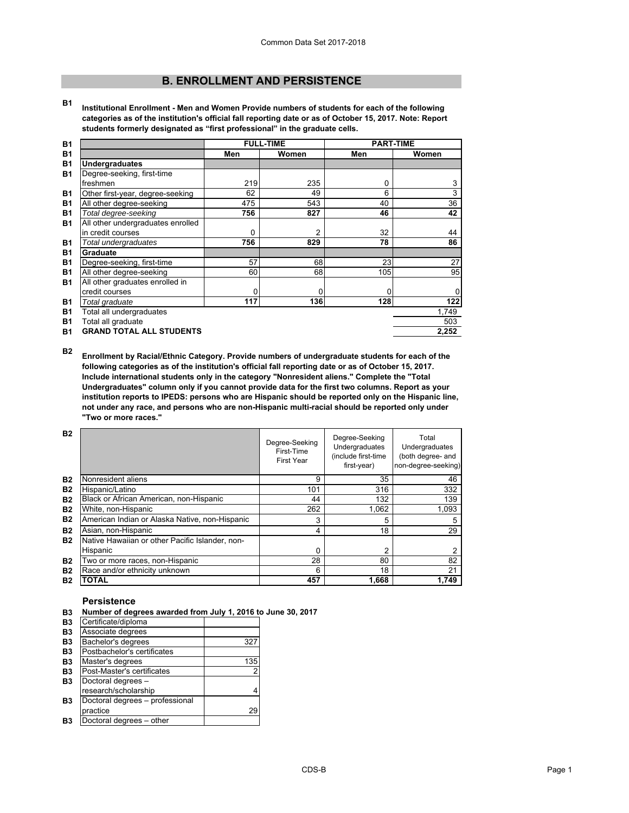# **B. ENROLLMENT AND PERSISTENCE**

**B1 Institutional Enrollment - Men and Women Provide numbers of students for each of the following categories as of the institution's official fall reporting date or as of October 15, 2017. Note: Report students formerly designated as "first professional" in the graduate cells.**

| <b>B1</b> |                                   | <b>FULL-TIME</b> |                | <b>PART-TIME</b> |       |
|-----------|-----------------------------------|------------------|----------------|------------------|-------|
| <b>B1</b> |                                   | Men              | Women          | Men              | Women |
| <b>B1</b> | <b>Undergraduates</b>             |                  |                |                  |       |
| <b>B1</b> | Degree-seeking, first-time        |                  |                |                  |       |
|           | freshmen                          | 219              | 235            | 0                | 3     |
| <b>B1</b> | Other first-year, degree-seeking  | 62               | 49             | 6                | 3     |
| <b>B1</b> | All other degree-seeking          | 475              | 543            | 40               | 36    |
| <b>B1</b> | Total degree-seeking              | 756              | 827            | 46               | 42    |
| <b>B1</b> | All other undergraduates enrolled |                  |                |                  |       |
|           | in credit courses                 | 0                | $\overline{2}$ | 32               | 44    |
| <b>B1</b> | Total undergraduates              | 756              | 829            | 78               | 86    |
| <b>B1</b> | Graduate                          |                  |                |                  |       |
| <b>B1</b> | Degree-seeking, first-time        | 57               | 68             | 23               | 27    |
| <b>B1</b> | All other degree-seeking          | 60               | 68             | 105              | 95    |
| <b>B1</b> | All other graduates enrolled in   |                  |                |                  |       |
|           | credit courses                    | 0                | 0              |                  |       |
| <b>B1</b> | Total graduate                    | 117              | 136            | 128              | 122   |
| <b>B1</b> | Total all undergraduates          |                  |                |                  | 1,749 |
| <b>B1</b> | Total all graduate                |                  |                |                  | 503   |
| <b>B1</b> | <b>GRAND TOTAL ALL STUDENTS</b>   |                  |                |                  | 2,252 |

**B2 Enrollment by Racial/Ethnic Category. Provide numbers of undergraduate students for each of the following categories as of the institution's official fall reporting date or as of October 15, 2017. Include international students only in the category "Nonresident aliens." Complete the "Total Undergraduates" column only if you cannot provide data for the first two columns. Report as your institution reports to IPEDS: persons who are Hispanic should be reported only on the Hispanic line, not under any race, and persons who are non-Hispanic multi-racial should be reported only under "Two or more races."** 

| <b>B2</b> |                                                 | Degree-Seeking<br>First-Time<br>First Year | Degree-Seeking<br>Undergraduates<br>(include first-time<br>first-year) | Total<br>Undergraduates<br>(both degree- and<br>non-degree-seeking) |
|-----------|-------------------------------------------------|--------------------------------------------|------------------------------------------------------------------------|---------------------------------------------------------------------|
| <b>B2</b> | Nonresident aliens                              | 9                                          | 35                                                                     | 46                                                                  |
| <b>B2</b> | Hispanic/Latino                                 | 101                                        | 316                                                                    | 332                                                                 |
| <b>B2</b> | Black or African American, non-Hispanic         | 44                                         | 132                                                                    | 139                                                                 |
| <b>B2</b> | White, non-Hispanic                             | 262                                        | 1,062                                                                  | 1,093                                                               |
| <b>B2</b> | American Indian or Alaska Native, non-Hispanic  | 3                                          | 5                                                                      | 5                                                                   |
| <b>B2</b> | Asian, non-Hispanic                             | 4                                          | 18                                                                     | 29                                                                  |
| <b>B2</b> | Native Hawaiian or other Pacific Islander, non- |                                            |                                                                        |                                                                     |
|           | Hispanic                                        | 0                                          | 2                                                                      | 2                                                                   |
| <b>B2</b> | Two or more races, non-Hispanic                 | 28                                         | 80                                                                     | 82                                                                  |
| <b>B2</b> | Race and/or ethnicity unknown                   | 6                                          | 18                                                                     | 21                                                                  |
| <b>B2</b> | TOTAL                                           | 457                                        | 1,668                                                                  | 1.749                                                               |

# **Persistence**

| B3 Number of degrees awarded from July 1, 2016 to June 30, 2017 |  |
|-----------------------------------------------------------------|--|
|                                                                 |  |

| --             | <b>1101111001</b> of acgreed awarded from oary 1, 2010 |                |
|----------------|--------------------------------------------------------|----------------|
| <b>B3</b>      | Certificate/diploma                                    |                |
| <b>B3</b>      | Associate degrees                                      |                |
| B <sub>3</sub> | Bachelor's degrees                                     | 327            |
| B <sub>3</sub> | Postbachelor's certificates                            |                |
| B <sub>3</sub> | Master's degrees                                       | 135            |
| B <sub>3</sub> | Post-Master's certificates                             | $\overline{2}$ |
| B <sub>3</sub> | Doctoral degrees -                                     |                |
|                | research/scholarship                                   | 4              |
| B <sub>3</sub> | Doctoral degrees - professional                        |                |
|                | practice                                               | 29             |
| B <sub>3</sub> | Doctoral degrees - other                               |                |
|                |                                                        |                |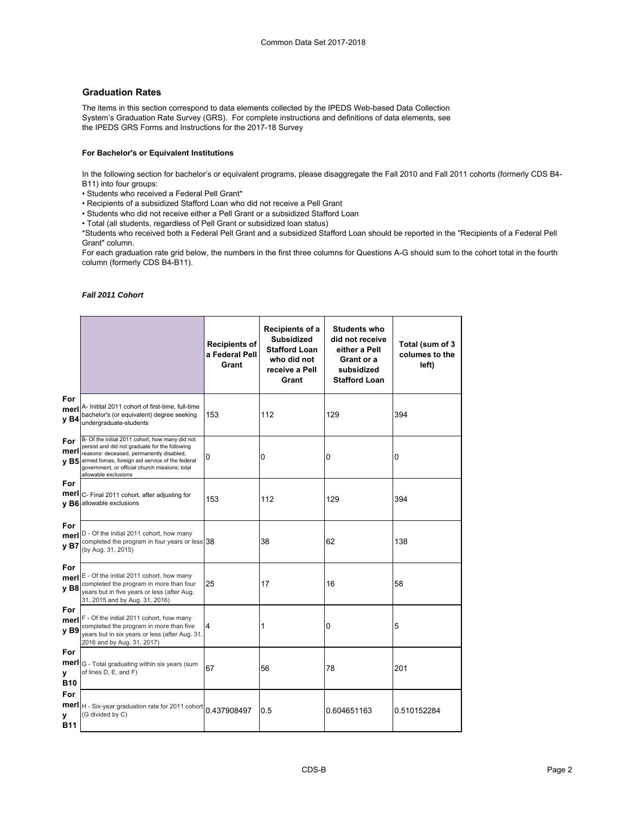# **Graduation Rates**

The items in this section correspond to data elements collected by the IPEDS Web-based Data Collection System's Graduation Rate Survey (GRS). For complete instructions and definitions of data elements, see the IPEDS GRS Forms and Instructions for the 2017-18 Survey

### **For Bachelor's or Equivalent Institutions**

In the following section for bachelor's or equivalent programs, please disaggregate the Fall 2010 and Fall 2011 cohorts (formerly CDS B4- B11) into four groups:

- Students who received a Federal Pell Grant\*
- Recipients of a subsidized Stafford Loan who did not receive a Pell Grant
- Students who did not receive either a Pell Grant or a subsidized Stafford Loan
- Total (all students, regardless of Pell Grant or subsidized loan status)

\*Students who received both a Federal Pell Grant and a subsidized Stafford Loan should be reported in the "Recipients of a Federal Pell Grant" column.

For each graduation rate grid below, the numbers in the first three columns for Questions A-G should sum to the cohort total in the fourth column (formerly CDS B4-B11).

### *Fall 2011 Cohort*

|                                |                                                                                                                                                                                                                                                                             | <b>Recipients of</b><br>a Federal Pell<br>Grant | Recipients of a<br><b>Subsidized</b><br><b>Stafford Loan</b><br>who did not<br>receive a Pell<br>Grant | <b>Students who</b><br>did not receive<br>either a Pell<br>Grant or a<br>subsidized<br><b>Stafford Loan</b> | Total (sum of 3<br>columes to the<br>left) |
|--------------------------------|-----------------------------------------------------------------------------------------------------------------------------------------------------------------------------------------------------------------------------------------------------------------------------|-------------------------------------------------|--------------------------------------------------------------------------------------------------------|-------------------------------------------------------------------------------------------------------------|--------------------------------------------|
| For<br>merl<br>y B4            | A- Initital 2011 cohort of first-time, full-time<br>bachelor's (or equivalent) degree seeking<br>undergraduate-students                                                                                                                                                     | 153                                             | 112                                                                                                    | 129                                                                                                         | 394                                        |
| For<br>merl<br><b>vB5</b>      | B- Of the initial 2011 cohort, how many did not<br>persist and did not graduate for the following<br>reasons: deceased, permanently disabled,<br>armed forces, foreign aid service of the federal<br>government, or official church missions; total<br>allowable exclusions | 0                                               | 0                                                                                                      | 0                                                                                                           | $\Omega$                                   |
| For<br>merl                    | C- Final 2011 cohort, after adjusting for<br>y B6 allowable exclusions                                                                                                                                                                                                      | 153                                             | 112                                                                                                    | 129                                                                                                         | 394                                        |
| For<br>merl<br>y B7            | D - Of the initial 2011 cohort, how many<br>completed the program in four years or less 38<br>(by Aug. 31, 2015)                                                                                                                                                            |                                                 | 38                                                                                                     | 62                                                                                                          | 138                                        |
| For<br>merl<br>y B8            | E - Of the initial 2011 cohort, how many<br>completed the program in more than four<br>years but in five years or less (after Aug.<br>31, 2015 and by Aug. 31, 2016)                                                                                                        | 25                                              | 17                                                                                                     | 16                                                                                                          | 58                                         |
| For<br>merl<br>y B9            | F - Of the initial 2011 cohort, how many<br>completed the program in more than five<br>years but in six years or less (after Aug. 31,<br>2016 and by Aug. 31, 2017)                                                                                                         | 4                                               | 1                                                                                                      | 0                                                                                                           | 5                                          |
| For<br>merl<br>У<br><b>B10</b> | G - Total graduating within six years (sum<br>of lines D, E, and F)                                                                                                                                                                                                         | 67                                              | 56                                                                                                     | 78                                                                                                          | 201                                        |
| For<br>у<br>B11                | merl   H - Six-year graduation rate for 2011 cohort<br>(G divided by C)                                                                                                                                                                                                     | 0.437908497                                     | 0.5                                                                                                    | 0.604651163                                                                                                 | 0.510152284                                |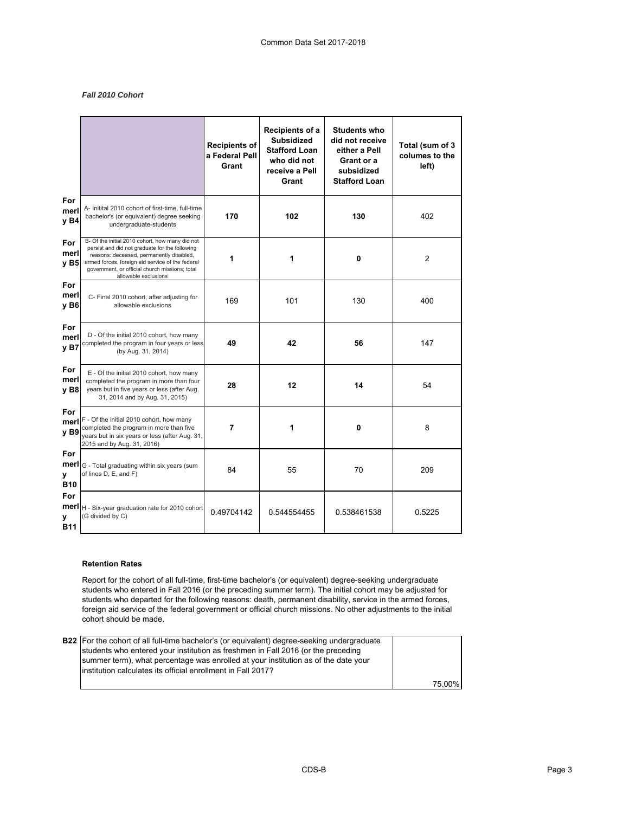## *Fall 2010 Cohort*

|                                |                                                                                                                                                                                                                                                                             | <b>Recipients of</b><br>a Federal Pell<br>Grant | Recipients of a<br><b>Subsidized</b><br><b>Stafford Loan</b><br>who did not<br>receive a Pell<br>Grant | <b>Students who</b><br>did not receive<br>either a Pell<br>Grant or a<br>subsidized<br><b>Stafford Loan</b> | Total (sum of 3<br>columes to the<br>left) |
|--------------------------------|-----------------------------------------------------------------------------------------------------------------------------------------------------------------------------------------------------------------------------------------------------------------------------|-------------------------------------------------|--------------------------------------------------------------------------------------------------------|-------------------------------------------------------------------------------------------------------------|--------------------------------------------|
| For<br>merl<br>y B4            | A- Initital 2010 cohort of first-time, full-time<br>bachelor's (or equivalent) degree seeking<br>undergraduate-students                                                                                                                                                     | 170                                             | 102                                                                                                    | 130                                                                                                         | 402                                        |
| For<br>merl<br><b>vB5</b>      | B- Of the initial 2010 cohort, how many did not<br>persist and did not graduate for the following<br>reasons: deceased, permanently disabled,<br>armed forces, foreign aid service of the federal<br>government, or official church missions; total<br>allowable exclusions | 1                                               | 1<br>0                                                                                                 |                                                                                                             | $\overline{2}$                             |
| For<br>merl<br>v B6            | C- Final 2010 cohort, after adjusting for<br>allowable exclusions                                                                                                                                                                                                           | 169                                             | 101                                                                                                    | 130                                                                                                         | 400                                        |
| For<br>merl<br>y <sub>B7</sub> | D - Of the initial 2010 cohort, how many<br>completed the program in four years or less<br>(by Aug. 31, 2014)                                                                                                                                                               | 49                                              | 42<br>56                                                                                               |                                                                                                             | 147                                        |
| For<br>merl<br>v B8            | E - Of the initial 2010 cohort, how many<br>completed the program in more than four<br>years but in five years or less (after Aug.<br>31, 2014 and by Aug. 31, 2015)                                                                                                        | 28                                              | 12<br>14                                                                                               |                                                                                                             | 54                                         |
| For<br>merl<br><b>vB9</b>      | F - Of the initial 2010 cohort, how many<br>completed the program in more than five<br>years but in six years or less (after Aug. 31,<br>2015 and by Aug. 31, 2016)                                                                                                         | 7                                               | $\mathbf{0}$<br>1                                                                                      |                                                                                                             | 8                                          |
| For<br>merl<br>v<br><b>B10</b> | G - Total graduating within six years (sum<br>of lines D, E, and F)                                                                                                                                                                                                         | 84                                              | 55                                                                                                     | 70                                                                                                          | 209                                        |
| For<br>v<br><b>B11</b>         | merl   H - Six-year graduation rate for 2010 cohort<br>(G divided by C)                                                                                                                                                                                                     | 0.49704142                                      | 0.544554455                                                                                            | 0.538461538                                                                                                 | 0.5225                                     |

### **Retention Rates**

Report for the cohort of all full-time, first-time bachelor's (or equivalent) degree-seeking undergraduate students who entered in Fall 2016 (or the preceding summer term). The initial cohort may be adjusted for students who departed for the following reasons: death, permanent disability, service in the armed forces, foreign aid service of the federal government or official church missions. No other adjustments to the initial cohort should be made.

| <b>B22</b> For the cohort of all full-time bachelor's (or equivalent) degree-seeking undergraduate |        |
|----------------------------------------------------------------------------------------------------|--------|
| students who entered your institution as freshmen in Fall 2016 (or the preceding                   |        |
| summer term), what percentage was enrolled at your institution as of the date your                 |        |
| linstitution calculates its official enrollment in Fall 2017?                                      |        |
|                                                                                                    | 75.00% |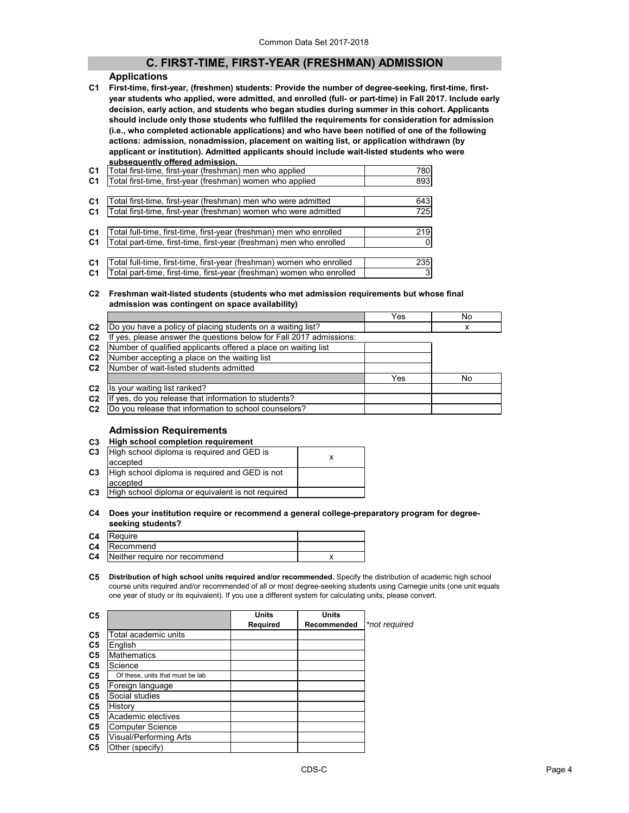# **C. FIRST-TIME, FIRST-YEAR (FRESHMAN) ADMISSION**

### **Applications**

**C1 First-time, first-year, (freshmen) students: Provide the number of degree-seeking, first-time, firstyear students who applied, were admitted, and enrolled (full- or part-time) in Fall 2017. Include early decision, early action, and students who began studies during summer in this cohort. Applicants should include only those students who fulfilled the requirements for consideration for admission (i.e., who completed actionable applications) and who have been notified of one of the following actions: admission, nonadmission, placement on waiting list, or application withdrawn (by applicant or institution). Admitted applicants should include wait-listed students who were subsequently offered admission.**

| C <sub>1</sub> | Total first-time, first-year (freshman) men who applied               | 780      |
|----------------|-----------------------------------------------------------------------|----------|
| C <sub>1</sub> | Total first-time, first-year (freshman) women who applied             | 893      |
|                |                                                                       |          |
| C <sub>1</sub> | Total first-time, first-year (freshman) men who were admitted         | 643      |
| C <sub>1</sub> | Total first-time, first-year (freshman) women who were admitted       | 725      |
|                |                                                                       |          |
| C <sub>1</sub> | Total full-time, first-time, first-year (freshman) men who enrolled   | 219      |
| C <sub>1</sub> | Total part-time, first-time, first-year (freshman) men who enrolled   | $\Omega$ |
|                |                                                                       |          |
| C <sub>1</sub> | Total full-time, first-time, first-year (freshman) women who enrolled | 235      |
|                |                                                                       |          |

**C1** |Total part-time, first-time, first-year (freshman) women who enrolled |  $\qquad$  3

### **C2 Freshman wait-listed students (students who met admission requirements but whose final admission was contingent on space availability)**

|                |                                                                     | Yes | No |
|----------------|---------------------------------------------------------------------|-----|----|
| C <sub>2</sub> | Do you have a policy of placing students on a waiting list?         |     | x  |
| C <sub>2</sub> | If yes, please answer the questions below for Fall 2017 admissions: |     |    |
| C <sub>2</sub> | Number of qualified applicants offered a place on waiting list      |     |    |
| C <sub>2</sub> | Number accepting a place on the waiting list                        |     |    |
| C <sub>2</sub> | Number of wait-listed students admitted                             |     |    |
|                |                                                                     | Yes | No |
| C <sub>2</sub> | Is your waiting list ranked?                                        |     |    |
| C <sub>2</sub> | yes, do you release that information to students?                   |     |    |
| C <sub>2</sub> | Do you release that information to school counselors?               |     |    |
|                |                                                                     |     |    |

# **Admission Requirements**

| C <sub>3</sub> | High school completion requirement                |  |
|----------------|---------------------------------------------------|--|
| C <sub>3</sub> | High school diploma is required and GED is        |  |
|                | accepted                                          |  |
| C <sub>3</sub> | High school diploma is required and GED is not    |  |
|                | accepted                                          |  |
| C <sub>3</sub> | High school diploma or equivalent is not required |  |

### **C4 Does your institution require or recommend a general college-preparatory program for degreeseeking students?**

| C4 Require                              |  |
|-----------------------------------------|--|
| <b>C4</b> Recommend                     |  |
| <b>C4</b> Neither require nor recommend |  |

**C5 Distribution of high school units required and/or recommended.** Specify the distribution of academic high school course units required and/or recommended of all or most degree-seeking students using Carnegie units (one unit equals one year of study or its equivalent). If you use a different system for calculating units, please convert.

| C5             |                                  | <b>Units</b>    | <b>Units</b> |               |
|----------------|----------------------------------|-----------------|--------------|---------------|
|                |                                  | <b>Required</b> | Recommended  | *not required |
| C <sub>5</sub> | Total academic units             |                 |              |               |
| C <sub>5</sub> | English                          |                 |              |               |
| C <sub>5</sub> | <b>Mathematics</b>               |                 |              |               |
| C <sub>5</sub> | Science                          |                 |              |               |
| C <sub>5</sub> | Of these, units that must be lab |                 |              |               |
| C <sub>5</sub> | Foreign language                 |                 |              |               |
| C <sub>5</sub> | Social studies                   |                 |              |               |
| C <sub>5</sub> | History                          |                 |              |               |
| C <sub>5</sub> | Academic electives               |                 |              |               |
| C <sub>5</sub> | <b>Computer Science</b>          |                 |              |               |
| C <sub>5</sub> | Visual/Performing Arts           |                 |              |               |
| C <sub>5</sub> | Other (specify)                  |                 |              |               |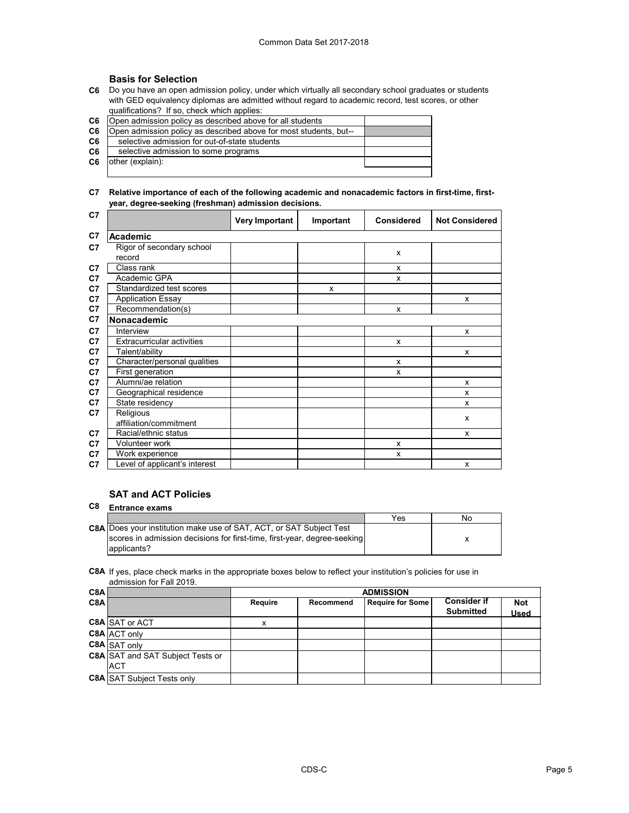# **Basis for Selection**

**C6** Do you have an open admission policy, under which virtually all secondary school graduates or students with GED equivalency diplomas are admitted without regard to academic record, test scores, or other qualifications? If so, check which applies:

| C <sub>6</sub> | Open admission policy as described above for all students         |  |
|----------------|-------------------------------------------------------------------|--|
| C <sub>6</sub> | Open admission policy as described above for most students, but-- |  |
| C6             | selective admission for out-of-state students                     |  |
| C <sub>6</sub> | selective admission to some programs                              |  |
| C6             | other (explain):                                                  |  |
|                |                                                                   |  |

## **C7 Relative importance of each of the following academic and nonacademic factors in first-time, firstyear, degree-seeking (freshman) admission decisions.**

| C <sub>7</sub> |                                   | <b>Very Important</b> | Important | <b>Considered</b> | <b>Not Considered</b> |
|----------------|-----------------------------------|-----------------------|-----------|-------------------|-----------------------|
| C <sub>7</sub> | <b>Academic</b>                   |                       |           |                   |                       |
| C7             | Rigor of secondary school         |                       |           | x                 |                       |
|                | record                            |                       |           |                   |                       |
| C7             | Class rank                        |                       |           | x                 |                       |
| C7             | Academic GPA                      |                       |           | x                 |                       |
| C <sub>7</sub> | Standardized test scores          |                       | x         |                   |                       |
| C7             | <b>Application Essay</b>          |                       |           |                   | X                     |
| C7             | Recommendation(s)                 |                       |           | x                 |                       |
| C <sub>7</sub> | Nonacademic                       |                       |           |                   |                       |
| C <sub>7</sub> | Interview                         |                       |           |                   | X                     |
| C7             | <b>Extracurricular activities</b> |                       |           | x                 |                       |
| C7             | Talent/ability                    |                       |           |                   | X                     |
| C7             | Character/personal qualities      |                       |           | x                 |                       |
| C7             | First generation                  |                       |           | x                 |                       |
| C7             | Alumni/ae relation                |                       |           |                   | X                     |
| C7             | Geographical residence            |                       |           |                   | x                     |
| C7             | State residency                   |                       |           |                   | x                     |
| C7             | Religious                         |                       |           |                   | X                     |
|                | affiliation/commitment            |                       |           |                   |                       |
| C7             | Racial/ethnic status              |                       |           |                   | x                     |
| C7             | Volunteer work                    |                       |           | x                 |                       |
| C7             | Work experience                   |                       |           | x                 |                       |
| C7             | Level of applicant's interest     |                       |           |                   | X                     |

# **SAT and ACT Policies**

| C8 | <b>Entrance exams</b>                                                      |     |    |
|----|----------------------------------------------------------------------------|-----|----|
|    |                                                                            | Yes | No |
|    | <b>C8A</b> Does your institution make use of SAT, ACT, or SAT Subject Test |     |    |
|    | scores in admission decisions for first-time, first-year, degree-seeking   |     |    |
|    | applicants?                                                                |     |    |

**C8A** If yes, place check marks in the appropriate boxes below to reflect your institution's policies for use in admission for Fall 2019.

| C <sub>8</sub> A |                                         | <b>ADMISSION</b> |           |                         |                                        |                           |
|------------------|-----------------------------------------|------------------|-----------|-------------------------|----------------------------------------|---------------------------|
| C <sub>8</sub> A |                                         | Require          | Recommend | <b>Require for Some</b> | <b>Consider if</b><br><b>Submitted</b> | <b>Not</b><br><b>Used</b> |
|                  | <b>C8A SAT or ACT</b>                   | х                |           |                         |                                        |                           |
|                  | C8A ACT only                            |                  |           |                         |                                        |                           |
|                  | <b>C8A</b> SAT only                     |                  |           |                         |                                        |                           |
|                  | <b>C8A SAT and SAT Subject Tests or</b> |                  |           |                         |                                        |                           |
|                  | <b>ACT</b>                              |                  |           |                         |                                        |                           |
|                  | <b>C8A SAT Subject Tests only</b>       |                  |           |                         |                                        |                           |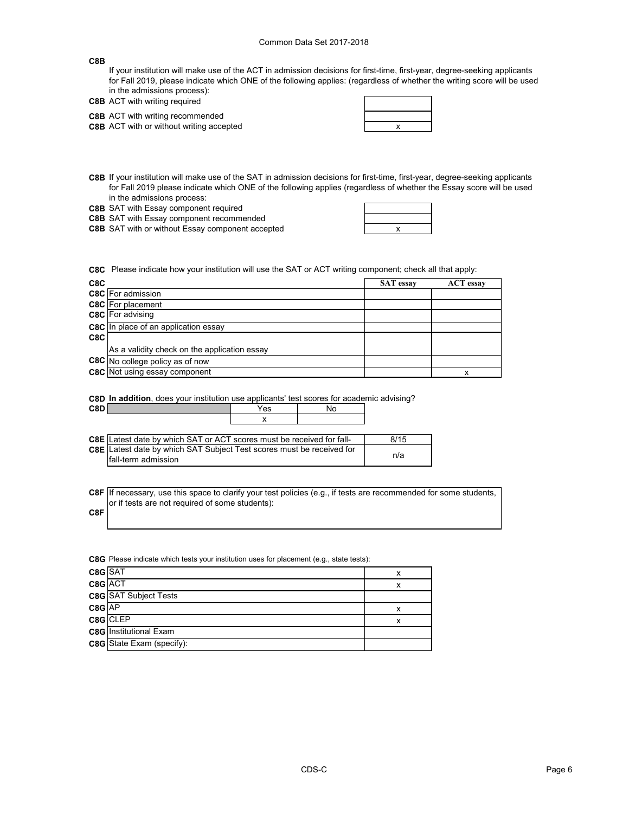### **C8B**

If your institution will make use of the ACT in admission decisions for first-time, first-year, degree-seeking applicants for Fall 2019, please indicate which ONE of the following applies: (regardless of whether the writing score will be used in the admissions process):

|  |  | <b>C8B</b> ACT with writing required                                                                                                                                                |
|--|--|-------------------------------------------------------------------------------------------------------------------------------------------------------------------------------------|
|  |  | $\overline{O}$ $\overline{O}$ $\overline{O}$ $\overline{O}$ $\overline{O}$ $\overline{O}$ $\overline{O}$ $\overline{O}$ $\overline{O}$ $\overline{O}$ $\overline{O}$ $\overline{O}$ |

**C8B** ACT with writing recommended **C8B** ACT with or without writing accepted **ACT ACT x EXECUTE:** 

| the contract of the contract      |     |  |
|-----------------------------------|-----|--|
|                                   |     |  |
| <b>Contract Contract Contract</b> | X = |  |
|                                   |     |  |

- **C8B** If your institution will make use of the SAT in admission decisions for first-time, first-year, degree-seeking applicants for Fall 2019 please indicate which ONE of the following applies (regardless of whether the Essay score will be used in the admissions process:
- **C8B** SAT with Essay component required

**C8B** SAT with Essay component recommended

**C8B** SAT with or without Essay component accepted **EXEC SAT SET ASSESS** 

| the contract of the contract of the contract of the |
|-----------------------------------------------------|
|                                                     |
|                                                     |

 $\blacksquare$ 

**C8C** Please indicate how your institution will use the SAT or ACT writing component; check all that apply:

| C8C |                                              | <b>SAT</b> essay | <b>ACT</b> essay |
|-----|----------------------------------------------|------------------|------------------|
|     | C8C For admission                            |                  |                  |
|     | <b>C8C</b> For placement                     |                  |                  |
|     | <b>C8C</b> For advising                      |                  |                  |
|     | <b>C8C</b> In place of an application essay  |                  |                  |
| C8C |                                              |                  |                  |
|     | As a validity check on the application essay |                  |                  |
|     | C8C No college policy as of now              |                  |                  |
|     | <b>C8C</b> Not using essay component         |                  | х                |

**C8D In addition**, does your institution use applicants' test scores for academic advising?

| C8D |                                                                                                            | Yes | No |      |
|-----|------------------------------------------------------------------------------------------------------------|-----|----|------|
|     |                                                                                                            |     |    |      |
|     |                                                                                                            |     |    |      |
|     | <b>C8E</b> Latest date by which SAT or ACT scores must be received for fall-                               |     |    | 8/15 |
|     | <b>C8E</b> Latest date by which SAT Subject Test scores must be received for<br><b>fall-term</b> admission |     |    | n/a  |

**C8F** If necessary, use this space to clarify your test policies (e.g., if tests are recommended for some students, or if tests are not required of some students):

**C8F**

**C8G** Please indicate which tests your institution uses for placement (e.g., state tests):

| C8G SAT |                               | х |
|---------|-------------------------------|---|
|         | C8G ACT                       | x |
|         | <b>C8G</b> SAT Subject Tests  |   |
| C8G AP  |                               | х |
|         | C8G CLEP                      | х |
|         | <b>C8G</b> Institutional Exam |   |
|         | C8G State Exam (specify):     |   |
|         |                               |   |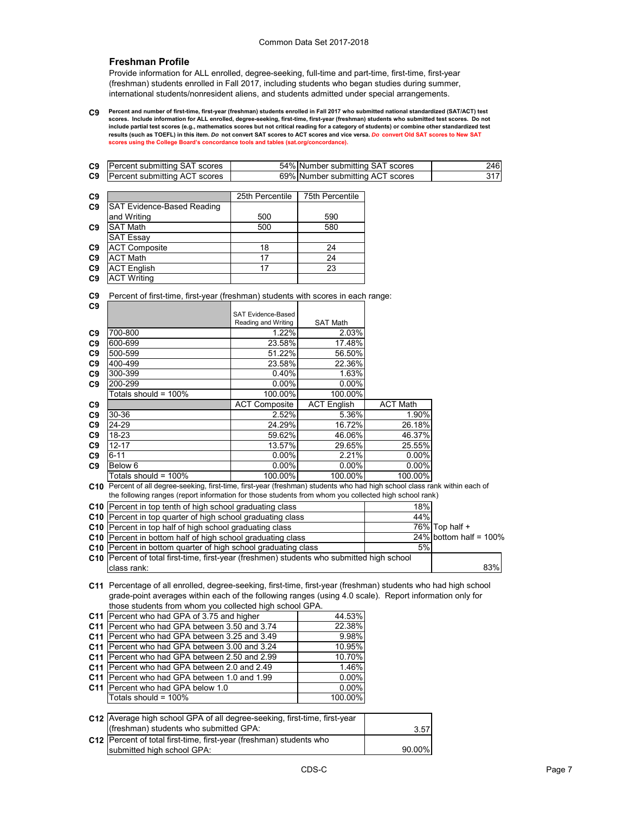# **Freshman Profile**

Provide information for ALL enrolled, degree-seeking, full-time and part-time, first-time, first-year (freshman) students enrolled in Fall 2017, including students who began studies during summer, international students/nonresident aliens, and students admitted under special arrangements.

**C9 Percent and number of first-time, first-year (freshman) students enrolled in Fall 2017 who submitted national standardized (SAT/ACT) test scores. Include information for ALL enrolled, degree-seeking, first-time, first-year (freshman) students who submitted test scores. Do not include partial test scores (e.g., mathematics scores but not critical reading for a category of students) or combine other standardized test results (such as TOEFL) in this item.** *Do* **not convert SAT scores to ACT scores and vice versa.** *Do* **convert Old SAT scores to New SAT scores using the College Board's concordance tools and tables (sat.org/concordance).**

| C9 | Percent submitting SAT scores                                                                                               |                           | 54% Number submitting SAT scores |                 | 246                       |
|----|-----------------------------------------------------------------------------------------------------------------------------|---------------------------|----------------------------------|-----------------|---------------------------|
| C9 | Percent submitting ACT scores                                                                                               |                           | 69% Number submitting ACT scores |                 | 317                       |
|    |                                                                                                                             |                           |                                  |                 |                           |
| C9 |                                                                                                                             | 25th Percentile           | 75th Percentile                  |                 |                           |
| C9 | SAT Evidence-Based Reading                                                                                                  |                           |                                  |                 |                           |
|    | and Writing                                                                                                                 | 500                       | 590                              |                 |                           |
| C9 | <b>SAT Math</b>                                                                                                             | 500                       | 580                              |                 |                           |
|    | <b>SAT Essay</b>                                                                                                            |                           |                                  |                 |                           |
| C9 | <b>ACT Composite</b>                                                                                                        | 18                        | 24                               |                 |                           |
| C9 | <b>ACT Math</b>                                                                                                             | $\overline{17}$           | 24                               |                 |                           |
| C9 | <b>ACT English</b>                                                                                                          | 17                        | 23                               |                 |                           |
| C9 | <b>ACT Writing</b>                                                                                                          |                           |                                  |                 |                           |
|    |                                                                                                                             |                           |                                  |                 |                           |
| C9 | Percent of first-time, first-year (freshman) students with scores in each range:                                            |                           |                                  |                 |                           |
| C9 |                                                                                                                             |                           |                                  |                 |                           |
|    |                                                                                                                             | <b>SAT Evidence-Based</b> |                                  |                 |                           |
|    |                                                                                                                             | Reading and Writing       | <b>SAT Math</b>                  |                 |                           |
| C9 | 700-800                                                                                                                     | 1.22%                     | 2.03%                            |                 |                           |
| C9 | 600-699                                                                                                                     | 23.58%                    | 17.48%                           |                 |                           |
| C9 | 500-599                                                                                                                     | 51.22%                    | 56.50%                           |                 |                           |
| C9 | 400-499                                                                                                                     | 23.58%                    | 22.36%                           |                 |                           |
| C9 | 300-399                                                                                                                     | 0.40%                     | 1.63%                            |                 |                           |
| C9 | 200-299                                                                                                                     | 0.00%                     | 0.00%                            |                 |                           |
|    | Totals should = 100%                                                                                                        | 100.00%                   | 100.00%                          |                 |                           |
| C9 |                                                                                                                             | <b>ACT Composite</b>      | <b>ACT English</b>               | <b>ACT Math</b> |                           |
| C9 | 30-36                                                                                                                       | 2.52%                     | 5.36%                            | 1.90%           |                           |
| C9 | 24-29                                                                                                                       | 24.29%                    | 16.72%                           | 26.18%          |                           |
| C9 | 18-23                                                                                                                       | 59.62%                    | 46.06%                           | 46.37%          |                           |
| C9 | $12 - 17$                                                                                                                   | 13.57%                    | 29.65%                           | 25.55%          |                           |
| C9 | $6 - 11$                                                                                                                    | 0.00%                     | 2.21%                            | 0.00%           |                           |
| C9 | Below <sub>6</sub>                                                                                                          | $0.00\%$                  | $0.00\%$                         | $0.00\%$        |                           |
|    | Totals should = 100%                                                                                                        | 100.00%                   | 100.00%                          | 100.00%         |                           |
|    | C10 Percent of all degree-seeking, first-time, first-year (freshman) students who had high school class rank within each of |                           |                                  |                 |                           |
|    | the following ranges (report information for those students from whom you collected high school rank)                       |                           |                                  |                 |                           |
|    | C10 Percent in top tenth of high school graduating class                                                                    |                           |                                  | 18%             |                           |
|    | C10 Percent in top quarter of high school graduating class                                                                  |                           |                                  | 44%             |                           |
|    | C10 Percent in top half of high school graduating class                                                                     |                           |                                  |                 | 76% Top half +            |
|    | C10 Percent in bottom half of high school graduating class                                                                  |                           |                                  |                 | 24% bottom half = $100\%$ |
|    | C10 Percent in bottom quarter of high school graduating class                                                               |                           |                                  | 5%              |                           |
|    | C10 Percent of total first-time, first-year (freshmen) students who submitted high school                                   |                           |                                  |                 |                           |
|    | class rank:                                                                                                                 |                           |                                  |                 | 83%                       |
|    |                                                                                                                             |                           |                                  |                 |                           |
|    | C11 Percentage of all enrolled, degree-seeking, first-time, first-year (freshman) students who had high school              |                           |                                  |                 |                           |
|    | grade-point averages within each of the following ranges (using 4.0 scale). Report information only for                     |                           |                                  |                 |                           |
|    | those students from whom you collected high school GPA.                                                                     |                           |                                  |                 |                           |
|    | C11 Percent who had GPA of 3.75 and higher                                                                                  |                           | 44.53%                           |                 |                           |
|    | C11 Percent who had GPA between 3.50 and 3.74                                                                               |                           | 22.38%                           |                 |                           |
|    | C11 Percent who had GPA between 3.25 and 3.49                                                                               |                           | 9.98%                            |                 |                           |
|    | C11 Percent who had GPA between 3.00 and 3.24                                                                               |                           | 10.95%                           |                 |                           |
|    | C11 Percent who had GPA between 2.50 and 2.99                                                                               |                           | 10.70%                           |                 |                           |
|    | C11 Percent who had GPA between 2.0 and 2.49                                                                                |                           | 1.46%                            |                 |                           |
|    | C11 Percent who had GPA between 1.0 and 1.99                                                                                |                           | 0.00%                            |                 |                           |
|    | C11 Percent who had GPA below 1.0                                                                                           |                           | $0.00\%$                         |                 |                           |
|    | Totals should = 100%                                                                                                        |                           | 100.00%                          |                 |                           |
|    |                                                                                                                             |                           |                                  |                 |                           |
|    | C12 Average high school GPA of all degree-seeking, first-time, first-year                                                   |                           |                                  |                 |                           |
|    | (freshman) students who submitted GPA:                                                                                      |                           |                                  |                 |                           |
|    |                                                                                                                             |                           |                                  | 3.57            |                           |
|    | C12   Percent of total first-time, first-year (freshman) students who                                                       |                           |                                  |                 |                           |
|    | submitted high school GPA:                                                                                                  |                           |                                  | 90.00%          |                           |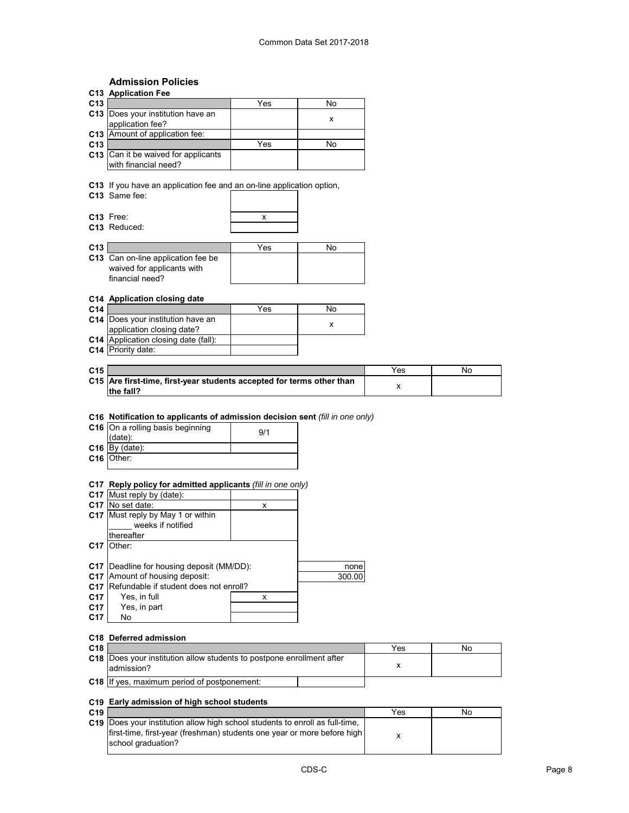# **Admission Policies**

|                 | <b>Admission Policies</b>                                                                                                                                     |     |        |     |    |
|-----------------|---------------------------------------------------------------------------------------------------------------------------------------------------------------|-----|--------|-----|----|
|                 | C13 Application Fee                                                                                                                                           |     |        |     |    |
| C13             |                                                                                                                                                               | Yes | No     |     |    |
|                 | C13 Does your institution have an                                                                                                                             |     | х      |     |    |
|                 | application fee?                                                                                                                                              |     |        |     |    |
|                 | C13 Amount of application fee:                                                                                                                                |     |        |     |    |
| C13             | C13 Can it be waived for applicants                                                                                                                           | Yes | No     |     |    |
|                 | with financial need?                                                                                                                                          |     |        |     |    |
|                 |                                                                                                                                                               |     |        |     |    |
|                 | C13 If you have an application fee and an on-line application option,                                                                                         |     |        |     |    |
|                 | C13 Same fee:                                                                                                                                                 |     |        |     |    |
|                 |                                                                                                                                                               |     |        |     |    |
|                 | C13 Free:                                                                                                                                                     | х   |        |     |    |
|                 | C13 Reduced:                                                                                                                                                  |     |        |     |    |
|                 |                                                                                                                                                               |     |        |     |    |
| C13             |                                                                                                                                                               | Yes | No     |     |    |
|                 | C13 Can on-line application fee be                                                                                                                            |     |        |     |    |
|                 | waived for applicants with                                                                                                                                    |     |        |     |    |
|                 | financial need?                                                                                                                                               |     |        |     |    |
|                 |                                                                                                                                                               |     |        |     |    |
|                 | C14 Application closing date                                                                                                                                  |     |        |     |    |
| C <sub>14</sub> |                                                                                                                                                               | Yes | No     |     |    |
|                 | C14 Does your institution have an                                                                                                                             |     | x      |     |    |
|                 | application closing date?                                                                                                                                     |     |        |     |    |
|                 | C14 Application closing date (fall):                                                                                                                          |     |        |     |    |
|                 | C14 Priority date:                                                                                                                                            |     |        |     |    |
|                 |                                                                                                                                                               |     |        |     |    |
| C15             |                                                                                                                                                               |     |        | Yes | No |
|                 | C15 Are first-time, first-year students accepted for terms other than<br>the fall?                                                                            |     |        | x   |    |
|                 | C16 Notification to applicants of admission decision sent (fill in one only)<br>C16 On a rolling basis beginning<br>(date):<br>$C16$ By (date):<br>C16 Other: | 9/1 |        |     |    |
|                 |                                                                                                                                                               |     |        |     |    |
|                 | C17 Reply policy for admitted applicants (fill in one only)                                                                                                   |     |        |     |    |
|                 | C17 Must reply by (date):                                                                                                                                     |     |        |     |    |
|                 | C17 No set date:                                                                                                                                              | x   |        |     |    |
|                 | C17 Must reply by May 1 or within                                                                                                                             |     |        |     |    |
|                 | weeks if notified                                                                                                                                             |     |        |     |    |
|                 | thereafter                                                                                                                                                    |     |        |     |    |
|                 | C17 Other:                                                                                                                                                    |     |        |     |    |
|                 |                                                                                                                                                               |     |        |     |    |
|                 | C17   Deadline for housing deposit (MM/DD):                                                                                                                   |     | none   |     |    |
|                 | C17 Amount of housing deposit:                                                                                                                                |     | 300.00 |     |    |
|                 | C17 Refundable if student does not enroll?                                                                                                                    |     |        |     |    |
| C17             | Yes, in full                                                                                                                                                  | x   |        |     |    |
| C17             | Yes, in part                                                                                                                                                  |     |        |     |    |
| C17             | No                                                                                                                                                            |     |        |     |    |
|                 | C18 Deferred admission                                                                                                                                        |     |        |     |    |
| C18             |                                                                                                                                                               |     |        |     |    |
|                 | C18 Does your institution allow students to postpone enrollment after                                                                                         |     |        | Yes | No |
|                 | admission?                                                                                                                                                    |     |        | x   |    |
|                 |                                                                                                                                                               |     |        |     |    |
|                 | C18 If yes, maximum period of postponement:                                                                                                                   |     |        |     |    |
|                 |                                                                                                                                                               |     |        |     |    |
|                 | C19 Early admission of high school students                                                                                                                   |     |        |     |    |

| C <sub>19</sub> |                                                                                     | Yes | No |
|-----------------|-------------------------------------------------------------------------------------|-----|----|
|                 | <b>C19</b> Does your institution allow high school students to enroll as full-time. |     |    |
|                 | first-time, first-year (freshman) students one year or more before high             |     |    |
|                 | school graduation?                                                                  |     |    |
|                 |                                                                                     |     |    |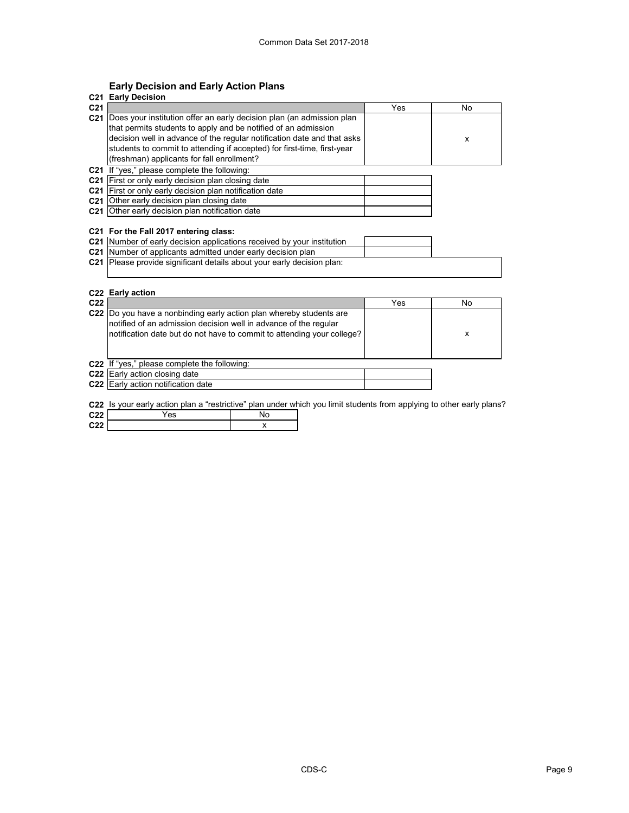# **Early Decision and Early Action Plans**

| C21             | <b>Early Decision</b>                                                                                                                                                                                                                                                                                                                       |     |    |
|-----------------|---------------------------------------------------------------------------------------------------------------------------------------------------------------------------------------------------------------------------------------------------------------------------------------------------------------------------------------------|-----|----|
| C <sub>21</sub> |                                                                                                                                                                                                                                                                                                                                             | Yes | No |
| C <sub>21</sub> | Does your institution offer an early decision plan (an admission plan<br>that permits students to apply and be notified of an admission<br>decision well in advance of the regular notification date and that asks<br>students to commit to attending if accepted) for first-time, first-year<br>(freshman) applicants for fall enrollment? |     | x  |
|                 | <b>C21</b> If "yes," please complete the following:                                                                                                                                                                                                                                                                                         |     |    |
|                 | C21 First or only early decision plan closing date<br>C21 First or only early decision plan notification date                                                                                                                                                                                                                               |     |    |
|                 | C <sub>21</sub> Other early decision plan closing date                                                                                                                                                                                                                                                                                      |     |    |
|                 | <b>C21</b> Other early decision plan notification date                                                                                                                                                                                                                                                                                      |     |    |
|                 | C21 For the Fall 2017 entering class:<br>C21 Number of early decision applications received by your institution<br>C21 Number of applicants admitted under early decision plan                                                                                                                                                              |     |    |
|                 | C21 Please provide significant details about your early decision plan:                                                                                                                                                                                                                                                                      |     |    |

## **C22 Early action**

| C <sub>22</sub> |                                                                                                                                                                                                                   | Yes | No |
|-----------------|-------------------------------------------------------------------------------------------------------------------------------------------------------------------------------------------------------------------|-----|----|
|                 | C22 Do you have a nonbinding early action plan whereby students are<br>notified of an admission decision well in advance of the regular<br>notification date but do not have to commit to attending your college? |     | x  |
|                 | C22 If "yes," please complete the following:                                                                                                                                                                      |     |    |
|                 | C <sub>22</sub> Early action closing date                                                                                                                                                                         |     |    |
|                 | C22 Early action notification date                                                                                                                                                                                |     |    |

**C22** Is your early action plan a "restrictive" plan under which you limit students from applying to other early plans?

| $\sim$ $\sim$ | $-1$ |  |
|---------------|------|--|
| - -           |      |  |
|               |      |  |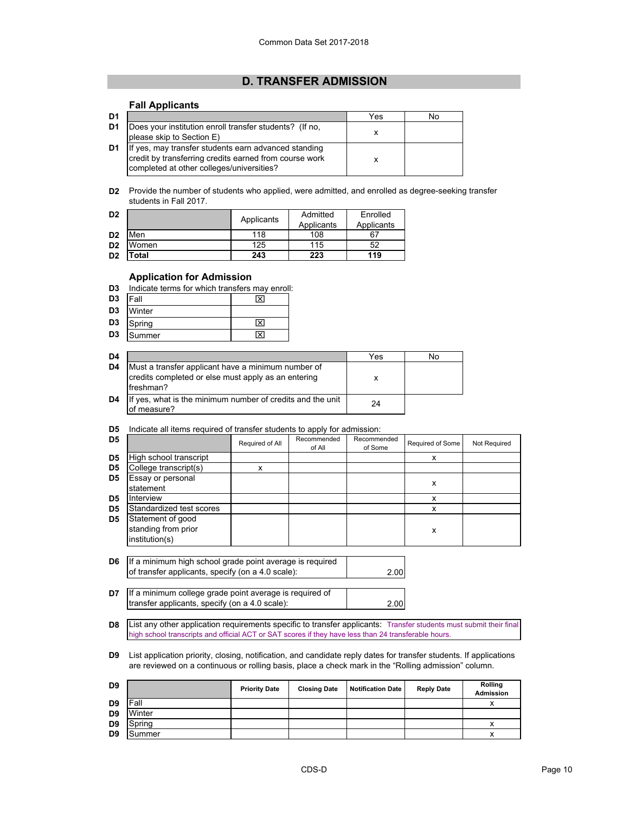# **D. TRANSFER ADMISSION**

### **Fall Applicants**

| D <sub>1</sub> |                                                                                                                                                             | Yes | No |
|----------------|-------------------------------------------------------------------------------------------------------------------------------------------------------------|-----|----|
| D <sub>1</sub> | Does your institution enroll transfer students? (If no,<br>please skip to Section E)                                                                        |     |    |
| D1             | If yes, may transfer students earn advanced standing<br>credit by transferring credits earned from course work<br>completed at other colleges/universities? |     |    |

**D2** Provide the number of students who applied, were admitted, and enrolled as degree-seeking transfer students in Fall 2017.

| D <sub>2</sub> |       | Applicants | Admitted   | Enrolled   |
|----------------|-------|------------|------------|------------|
|                |       |            | Applicants | Applicants |
| D <sub>2</sub> | Men   | 118        | 108        |            |
| D <sub>2</sub> | Women | 125        | 115        | 52         |
| D <sub>2</sub> | ™otal | 243        | 223        | 119        |

## **Application for Admission**

- **D3** Indicate terms for which transfers may enroll:
- **Fall Example 23**
- **D3** Winter
- **D3** Spring **N**
- **D3** Summer X

| D <sub>4</sub> |                                                                                                                         | Yes | No |
|----------------|-------------------------------------------------------------------------------------------------------------------------|-----|----|
| D <sub>4</sub> | Must a transfer applicant have a minimum number of<br>credits completed or else must apply as an entering<br>Ifreshman? |     |    |
| D <sub>4</sub> | If yes, what is the minimum number of credits and the unit<br>of measure?                                               | 24  |    |

**D5** Indicate all items required of transfer students to apply for admission:

| D <sub>5</sub> |                                                            | Required of All | Recommended<br>of All | Recommended<br>of Some | Required of Some | Not Required |
|----------------|------------------------------------------------------------|-----------------|-----------------------|------------------------|------------------|--------------|
| D <sub>5</sub> | High school transcript                                     |                 |                       |                        | x                |              |
| D5             | College transcript(s)                                      | x               |                       |                        |                  |              |
| D <sub>5</sub> | Essay or personal                                          |                 |                       |                        | x                |              |
|                | statement                                                  |                 |                       |                        |                  |              |
| D5             | Interview                                                  |                 |                       |                        | x                |              |
| D <sub>5</sub> | Standardized test scores                                   |                 |                       |                        | x                |              |
| D5             | Statement of good<br>standing from prior<br>institution(s) |                 |                       |                        | x                |              |

| <b>D6</b> If a minimum high school grade point average is required |      |
|--------------------------------------------------------------------|------|
| of transfer applicants, specify (on a 4.0 scale):                  | 2.00 |
|                                                                    |      |
| D7   If a minimum college grade point average is required of       |      |
| transfer applicants, specify (on a 4.0 scale):                     | 2.00 |

**D8** List any other application requirements specific to transfer applicants: Transfer students must submit their final high school transcripts and official ACT or SAT scores if they have less than 24 transferable hours.

**D9** List application priority, closing, notification, and candidate reply dates for transfer students. If applications are reviewed on a continuous or rolling basis, place a check mark in the "Rolling admission" column.

| D <sub>9</sub> |             | <b>Priority Date</b> | <b>Closing Date</b> | <b>Notification Date</b> | <b>Reply Date</b> | <b>Rolling</b><br><b>Admission</b> |
|----------------|-------------|----------------------|---------------------|--------------------------|-------------------|------------------------------------|
| D9             | <b>Fall</b> |                      |                     |                          |                   |                                    |
| D <sub>9</sub> | Winter      |                      |                     |                          |                   |                                    |
| D <sub>9</sub> | Spring      |                      |                     |                          |                   |                                    |
| D <sub>9</sub> | Summer      |                      |                     |                          |                   | ^                                  |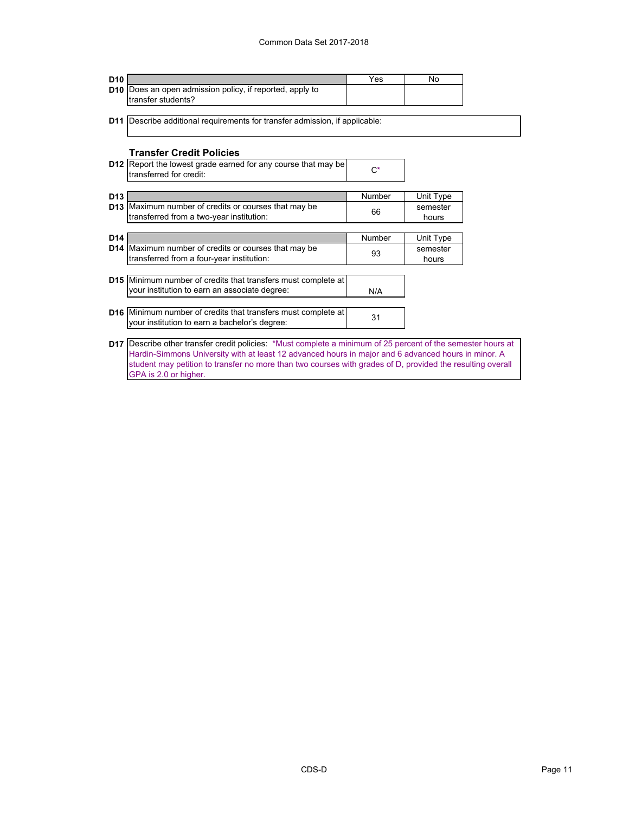| D <sub>10</sub> |                                                                                                              | Yes    | No        |  |
|-----------------|--------------------------------------------------------------------------------------------------------------|--------|-----------|--|
|                 | D10 Does an open admission policy, if reported, apply to                                                     |        |           |  |
|                 | transfer students?                                                                                           |        |           |  |
|                 |                                                                                                              |        |           |  |
|                 | <b>D11</b> Describe additional requirements for transfer admission, if applicable:                           |        |           |  |
|                 |                                                                                                              |        |           |  |
|                 | <b>Transfer Credit Policies</b>                                                                              |        |           |  |
|                 | <b>D12</b> Report the lowest grade earned for any course that may be                                         |        |           |  |
|                 | transferred for credit:                                                                                      | $C^*$  |           |  |
|                 |                                                                                                              |        |           |  |
| D <sub>13</sub> |                                                                                                              | Number | Unit Type |  |
|                 | <b>D13</b> Maximum number of credits or courses that may be                                                  |        | semester  |  |
|                 | transferred from a two-year institution:                                                                     | 66     | hours     |  |
|                 |                                                                                                              |        |           |  |
| D <sub>14</sub> |                                                                                                              | Number | Unit Type |  |
|                 | D14 Maximum number of credits or courses that may be                                                         | 93     | semester  |  |
|                 | transferred from a four-year institution:                                                                    |        | hours     |  |
|                 | <b>D15</b> Minimum number of credits that transfers must complete at                                         |        |           |  |
|                 | your institution to earn an associate degree:                                                                |        |           |  |
|                 |                                                                                                              | N/A    |           |  |
|                 | D16 Minimum number of credits that transfers must complete at                                                |        |           |  |
|                 | your institution to earn a bachelor's degree:                                                                | 31     |           |  |
|                 |                                                                                                              |        |           |  |
|                 |                                                                                                              |        |           |  |
|                 | D17 Describe other transfer credit policies: *Must complete a minimum of 25 percent of the semester hours at |        |           |  |
|                 | Hardin-Simmons University with at least 12 advanced hours in major and 6 advanced hours in minor. A          |        |           |  |
|                 | student may petition to transfer no more than two courses with grades of D, provided the resulting overall   |        |           |  |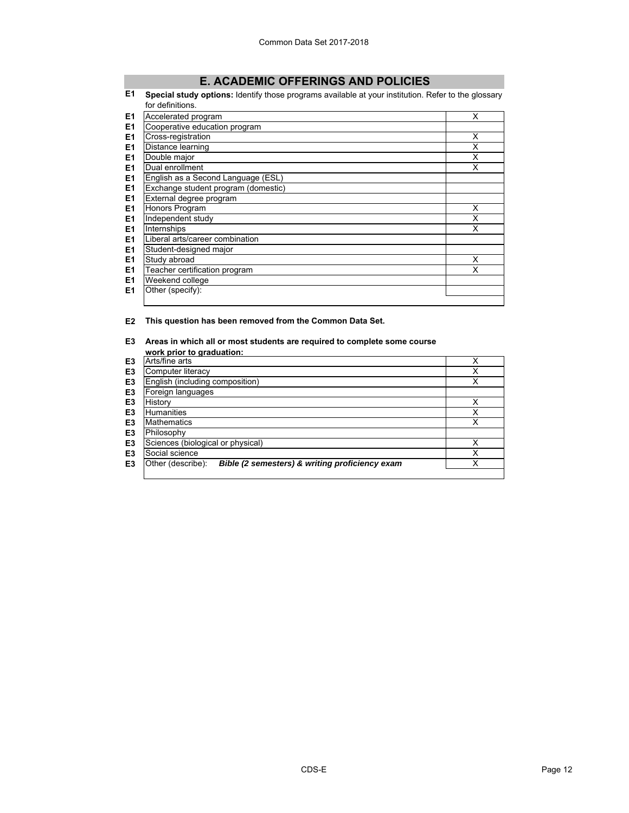# **E. ACADEMIC OFFERINGS AND POLICIES**

#### **E1 Special study options:** Identify those programs available at your institution. Refer to the glossary for definitions.

|                | טו שטווווווטו.                      |   |
|----------------|-------------------------------------|---|
| E <sub>1</sub> | Accelerated program                 | x |
| E1             | Cooperative education program       |   |
| E <sub>1</sub> | Cross-registration                  | X |
| E <sub>1</sub> | Distance learning                   | Χ |
| E1             | Double major                        | X |
| E1             | Dual enrollment                     | X |
| E <sub>1</sub> | English as a Second Language (ESL)  |   |
| E <sub>1</sub> | Exchange student program (domestic) |   |
| E <sub>1</sub> | External degree program             |   |
| E <sub>1</sub> | Honors Program                      | X |
| E <sub>1</sub> | Independent study                   | x |
| E <sub>1</sub> | Internships                         | X |
| E <sub>1</sub> | Liberal arts/career combination     |   |
| E <sub>1</sub> | Student-designed major              |   |
| E <sub>1</sub> | Study abroad                        | X |
| E <sub>1</sub> | Teacher certification program       | x |
| E <sub>1</sub> | Weekend college                     |   |
| E1             | Other (specify):                    |   |
|                |                                     |   |

**E2 This question has been removed from the Common Data Set.**

# **E3 Areas in which all or most students are required to complete some course**

|                | work prior to graduation:                                           |   |
|----------------|---------------------------------------------------------------------|---|
| E3             | Arts/fine arts                                                      | x |
| E3             | Computer literacy                                                   | x |
| E3             | English (including composition)                                     | x |
| E <sub>3</sub> | Foreign languages                                                   |   |
| E <sub>3</sub> | History                                                             |   |
| E3             | <b>Humanities</b>                                                   | x |
| E3             | <b>Mathematics</b>                                                  | x |
| E3             | Philosophy                                                          |   |
| E3             | Sciences (biological or physical)                                   | x |
| E3             | Social science                                                      | x |
| E3             | Other (describe):<br>Bible (2 semesters) & writing proficiency exam | x |
|                |                                                                     |   |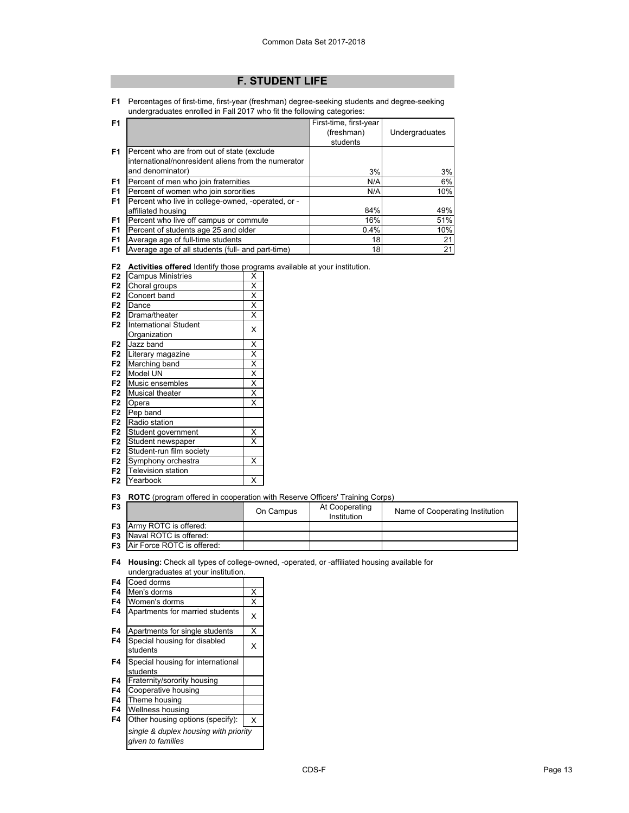# **F. STUDENT LIFE**

**F1** Percentages of first-time, first-year (freshman) degree-seeking students and degree-seeking undergraduates enrolled in Fall 2017 who fit the following categories:

| F <sub>1</sub> |                                                     | First-time, first-year |                |
|----------------|-----------------------------------------------------|------------------------|----------------|
|                |                                                     | (freshman)             | Undergraduates |
|                |                                                     | students               |                |
| F <sub>1</sub> | Percent who are from out of state (exclude          |                        |                |
|                | international/nonresident aliens from the numerator |                        |                |
|                | and denominator)                                    | 3%                     | 3%             |
| F1             | Percent of men who join fraternities                | N/A                    | 6%             |
| F <sub>1</sub> | Percent of women who join sororities                | N/A                    | 10%            |
| F <sub>1</sub> | Percent who live in college-owned, -operated, or -  |                        |                |
|                | affiliated housing                                  | 84%                    | 49%            |
| F1             | Percent who live off campus or commute              | 16%                    | 51%            |
| F <sub>1</sub> | Percent of students age 25 and older                | 0.4%                   | 10%            |
| F <sub>1</sub> | Average age of full-time students                   | 18                     | 21             |
| F1             | Average age of all students (full- and part-time)   | 18                     | 21             |

**F2 Activities offered** Identify those programs available at your institution.

| F <sub>2</sub> | <b>Campus Ministries</b>     | X                       |
|----------------|------------------------------|-------------------------|
| F <sub>2</sub> | Choral groups                | X                       |
| F <sub>2</sub> | Concert band                 | $\overline{\mathsf{x}}$ |
| F <sub>2</sub> | Dance                        | $\overline{\mathsf{x}}$ |
| F <sub>2</sub> | Drama/theater                | X                       |
| F <sub>2</sub> | <b>International Student</b> |                         |
|                | Organization                 | X                       |
| F <sub>2</sub> | Jazz band                    | Χ                       |
| F <sub>2</sub> | Literary magazine            | $\overline{\mathsf{x}}$ |
| F <sub>2</sub> | Marching band                | $\overline{\mathsf{x}}$ |
| F <sub>2</sub> | Model UN                     | $\overline{\mathsf{x}}$ |
| F <sub>2</sub> | Music ensembles              | $\overline{\mathsf{x}}$ |
| F <sub>2</sub> | <b>Musical theater</b>       | X                       |
| F <sub>2</sub> | Opera                        | X                       |
| F <sub>2</sub> | Pep band                     |                         |
| F <sub>2</sub> | Radio station                |                         |
| F <sub>2</sub> | Student government           | X                       |
| F <sub>2</sub> | Student newspaper            | X                       |
| F <sub>2</sub> | Student-run film society     |                         |
| F <sub>2</sub> | Symphony orchestra           | X                       |
| F <sub>2</sub> | <b>Television station</b>    |                         |
| F <sub>2</sub> | Yearbook                     | X                       |

**F3 ROTC** (program offered in cooperation with Reserve Officers' Training Corps)

| F <sub>3</sub> |                                      | On Campus | At Cooperating<br>Institution | Name of Cooperating Institution |
|----------------|--------------------------------------|-----------|-------------------------------|---------------------------------|
|                | <b>F3</b> Army ROTC is offered:      |           |                               |                                 |
|                | <b>F3</b> Naval ROTC is offered:     |           |                               |                                 |
|                | <b>F3</b> Air Force ROTC is offered: |           |                               |                                 |

**F4 Housing:** Check all types of college-owned, -operated, or -affiliated housing available for undergraduates at your institution.

| F4 | Coed dorms                                                 |   |
|----|------------------------------------------------------------|---|
| F4 | Men's dorms                                                | X |
| F4 | Women's dorms                                              | X |
| F4 | Apartments for married students                            | X |
| F4 | Apartments for single students                             | X |
| F4 | Special housing for disabled<br>students                   | X |
| F4 | Special housing for international                          |   |
|    | students                                                   |   |
| F4 | Fraternity/sorority housing                                |   |
| F4 | Cooperative housing                                        |   |
| F4 | Theme housing                                              |   |
| F4 | Wellness housing                                           |   |
| F4 | Other housing options (specify):                           | X |
|    | single & duplex housing with priority<br>given to families |   |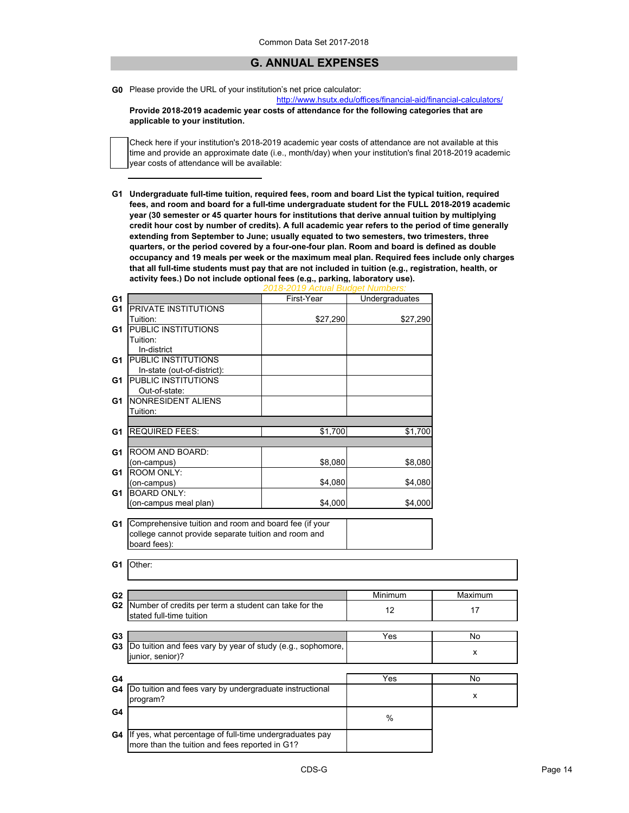# **G. ANNUAL EXPENSES**

**G0** Please provide the URL of your institution's net price calculator:

http://www.hsutx.edu/offices/financial-aid/financial-calculators/

**Provide 2018-2019 academic year costs of attendance for the following categories that are applicable to your institution.**

Check here if your institution's 2018-2019 academic year costs of attendance are not available at this time and provide an approximate date (i.e., month/day) when your institution's final 2018-2019 academic year costs of attendance will be available:

**G1 Undergraduate full-time tuition, required fees, room and board List the typical tuition, required fees, and room and board for a full-time undergraduate student for the FULL 2018-2019 academic year (30 semester or 45 quarter hours for institutions that derive annual tuition by multiplying credit hour cost by number of credits). A full academic year refers to the period of time generally extending from September to June; usually equated to two semesters, two trimesters, three quarters, or the period covered by a four-one-four plan. Room and board is defined as double occupancy and 19 meals per week or the maximum meal plan. Required fees include only charges that all full-time students must pay that are not included in tuition (e.g., registration, health, or activity fees.) Do not include optional fees (e.g., parking, laboratory use).**

| G1             |                                                                                                                                         | First-Year | Undergraduates   |           |
|----------------|-----------------------------------------------------------------------------------------------------------------------------------------|------------|------------------|-----------|
| G1             | <b>PRIVATE INSTITUTIONS</b>                                                                                                             |            |                  |           |
|                | Tuition:                                                                                                                                | \$27,290   | \$27,290         |           |
| G1             | <b>PUBLIC INSTITUTIONS</b>                                                                                                              |            |                  |           |
|                | Tuition:                                                                                                                                |            |                  |           |
|                | In-district                                                                                                                             |            |                  |           |
| G1             | <b>PUBLIC INSTITUTIONS</b>                                                                                                              |            |                  |           |
|                | In-state (out-of-district):                                                                                                             |            |                  |           |
| G1             | <b>PUBLIC INSTITUTIONS</b>                                                                                                              |            |                  |           |
|                | Out-of-state:                                                                                                                           |            |                  |           |
| G1             | NONRESIDENT ALIENS                                                                                                                      |            |                  |           |
|                | Tuition:                                                                                                                                |            |                  |           |
|                |                                                                                                                                         |            |                  |           |
| G1             | <b>REQUIRED FEES:</b>                                                                                                                   | \$1,700    | \$1,700          |           |
|                |                                                                                                                                         |            |                  |           |
| G1             | ROOM AND BOARD:                                                                                                                         |            |                  |           |
|                | (on-campus)                                                                                                                             | \$8,080    | \$8,080          |           |
| G1             | <b>ROOM ONLY:</b>                                                                                                                       |            |                  |           |
|                | (on-campus)                                                                                                                             | \$4,080    | \$4,080          |           |
| G1             | <b>BOARD ONLY:</b>                                                                                                                      |            |                  |           |
|                | (on-campus meal plan)                                                                                                                   | \$4,000    | \$4,000          |           |
| G1<br>G1       | Comprehensive tuition and room and board fee (if your<br>college cannot provide separate tuition and room and<br>board fees):<br>Other: |            |                  |           |
|                |                                                                                                                                         |            |                  |           |
| G <sub>2</sub> |                                                                                                                                         |            | Minimum          | Maximum   |
| G2             | Number of credits per term a student can take for the<br>stated full-time tuition                                                       |            | 12               | 17        |
| G <sub>3</sub> |                                                                                                                                         |            | Yes              | No        |
| G3             | Do tuition and fees vary by year of study (e.g., sophomore,                                                                             |            |                  |           |
|                | junior, senior)?                                                                                                                        |            |                  | x         |
|                |                                                                                                                                         |            |                  |           |
| G4             |                                                                                                                                         |            | $\overline{Yes}$ | <b>No</b> |
| G4             | Do tuition and fees vary by undergraduate instructional                                                                                 |            |                  |           |
|                | program?                                                                                                                                |            |                  | x         |
| G4             |                                                                                                                                         |            |                  |           |
|                |                                                                                                                                         |            | %                |           |
|                | G4 If yes, what percentage of full-time undergraduates pay<br>more than the tuition and fees reported in G1?                            |            |                  |           |

# *2018-2019 Actual Budget Numbers:*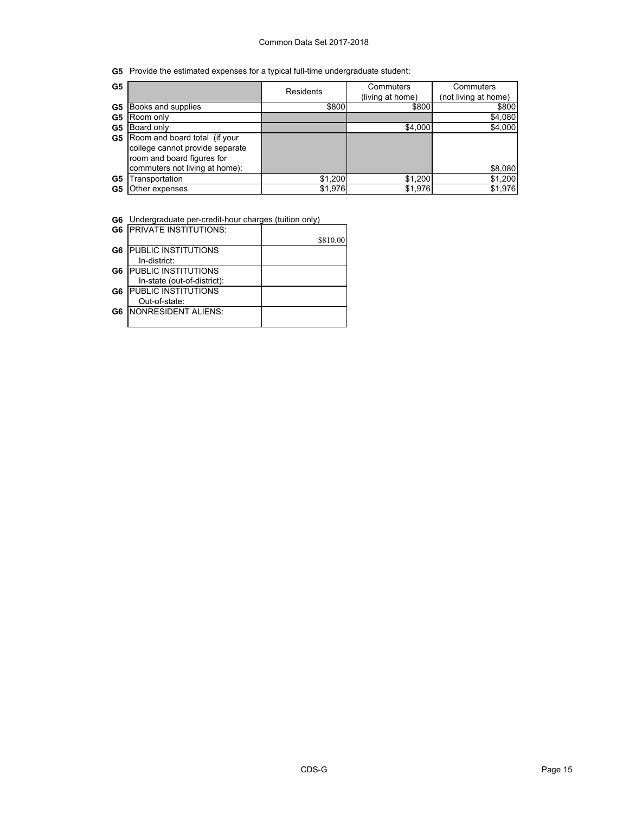**G5** Provide the estimated expenses for a typical full-time undergraduate student:

| G5 |                                 | <b>Residents</b> | Commuters        | Commuters            |
|----|---------------------------------|------------------|------------------|----------------------|
|    |                                 |                  | (living at home) | (not living at home) |
| G5 | Books and supplies              | \$800            | \$800            | \$800                |
| G5 | Room only                       |                  |                  | \$4,080              |
| G5 | Board only                      |                  | \$4,000          | \$4,000              |
| G5 | Room and board total (if your   |                  |                  |                      |
|    | college cannot provide separate |                  |                  |                      |
|    | room and board figures for      |                  |                  |                      |
|    | commuters not living at home):  |                  |                  | \$8,080              |
| G5 | Transportation                  | \$1.200          | \$1.200          | \$1,200              |
| G5 | Other expenses                  | \$1,976          | \$1,976          | \$1,976              |

**G6** Undergraduate per-credit-hour charges (tuition only)

|    | <b>G6 PRIVATE INSTITUTIONS:</b> |          |
|----|---------------------------------|----------|
|    |                                 | \$810.00 |
| G6 | <b>PUBLIC INSTITUTIONS</b>      |          |
|    | In-district:                    |          |
| G6 | <b>IPUBLIC INSTITUTIONS</b>     |          |
|    | In-state (out-of-district):     |          |
| G6 | <b>PUBLIC INSTITUTIONS</b>      |          |
|    | Out-of-state:                   |          |
| G6 | NONRESIDENT ALIENS:             |          |
|    |                                 |          |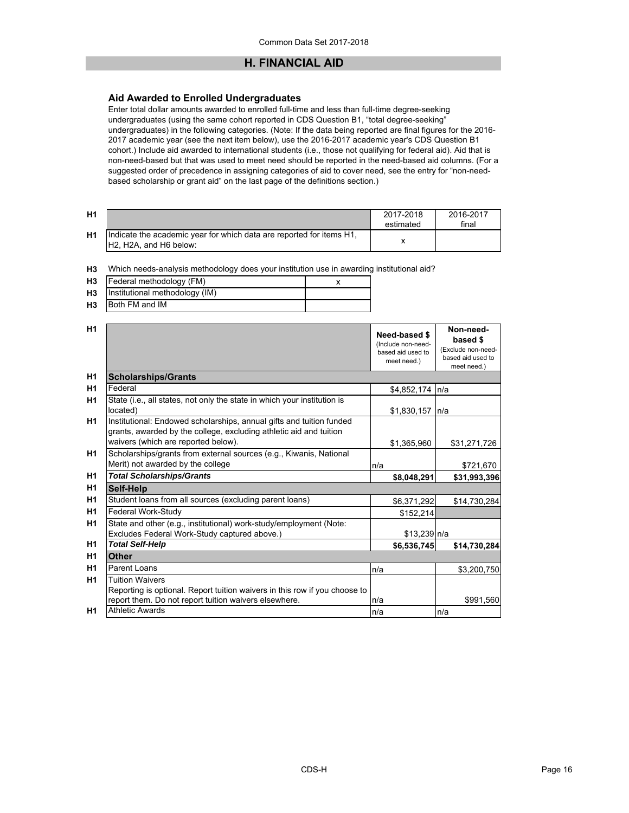# **H. FINANCIAL AID**

# **Aid Awarded to Enrolled Undergraduates**

Enter total dollar amounts awarded to enrolled full-time and less than full-time degree-seeking undergraduates (using the same cohort reported in CDS Question B1, "total degree-seeking" undergraduates) in the following categories. (Note: If the data being reported are final figures for the 2016- 2017 academic year (see the next item below), use the 2016-2017 academic year's CDS Question B1 cohort.) Include aid awarded to international students (i.e., those not qualifying for federal aid). Aid that is non-need-based but that was used to meet need should be reported in the need-based aid columns. (For a suggested order of precedence in assigning categories of aid to cover need, see the entry for "non-needbased scholarship or grant aid" on the last page of the definitions section.)

| H1             |                                                                                                 | 2017-2018<br>estimated | 2016-2017<br>final |
|----------------|-------------------------------------------------------------------------------------------------|------------------------|--------------------|
| H <sub>1</sub> | Indicate the academic year for which data are reported for items H1,<br>IH2. H2A, and H6 below: |                        |                    |

**H3** Which needs-analysis methodology does your institution use in awarding institutional aid?

|                |                                   | . |  |
|----------------|-----------------------------------|---|--|
| H3             | Federal methodology (FM)          |   |  |
|                | H3 Institutional methodology (IM) |   |  |
| H <sub>3</sub> | Both FM and IM                    |   |  |

| H1             |                                                                                                                                            | Need-based \$<br>(Include non-need-<br>based aid used to<br>meet need.) | Non-need-<br>based \$<br>(Exclude non-need-<br>based aid used to<br>meet need.) |
|----------------|--------------------------------------------------------------------------------------------------------------------------------------------|-------------------------------------------------------------------------|---------------------------------------------------------------------------------|
| H <sub>1</sub> | <b>Scholarships/Grants</b>                                                                                                                 |                                                                         |                                                                                 |
| H <sub>1</sub> | Federal                                                                                                                                    | \$4,852,174                                                             | n/a                                                                             |
| H <sub>1</sub> | State (i.e., all states, not only the state in which your institution is<br>located)                                                       | \$1,830,157                                                             | In/a                                                                            |
| H <sub>1</sub> | Institutional: Endowed scholarships, annual gifts and tuition funded<br>grants, awarded by the college, excluding athletic aid and tuition |                                                                         |                                                                                 |
|                | waivers (which are reported below).                                                                                                        | \$1,365,960                                                             | \$31,271,726                                                                    |
| H <sub>1</sub> | Scholarships/grants from external sources (e.g., Kiwanis, National<br>Merit) not awarded by the college                                    | n/a                                                                     | \$721,670                                                                       |
| H <sub>1</sub> | <b>Total Scholarships/Grants</b>                                                                                                           | \$8,048,291                                                             | \$31,993,396                                                                    |
| H <sub>1</sub> | Self-Help                                                                                                                                  |                                                                         |                                                                                 |
| H <sub>1</sub> | Student loans from all sources (excluding parent loans)                                                                                    | \$6,371,292                                                             | \$14,730,284                                                                    |
| H <sub>1</sub> | Federal Work-Study                                                                                                                         | \$152,214                                                               |                                                                                 |
| H <sub>1</sub> | State and other (e.g., institutional) work-study/employment (Note:                                                                         |                                                                         |                                                                                 |
|                | Excludes Federal Work-Study captured above.)                                                                                               | $$13,239$ n/a                                                           |                                                                                 |
| H <sub>1</sub> | <b>Total Self-Help</b>                                                                                                                     | \$6,536,745                                                             | \$14,730,284                                                                    |
| H <sub>1</sub> | <b>Other</b>                                                                                                                               |                                                                         |                                                                                 |
| H <sub>1</sub> | Parent Loans                                                                                                                               | n/a                                                                     | \$3,200,750                                                                     |
| H <sub>1</sub> | <b>Tuition Waivers</b>                                                                                                                     |                                                                         |                                                                                 |
|                | Reporting is optional. Report tuition waivers in this row if you choose to                                                                 |                                                                         |                                                                                 |
|                | report them. Do not report tuition waivers elsewhere.                                                                                      | n/a                                                                     | \$991,560                                                                       |
| H <sub>1</sub> | <b>Athletic Awards</b>                                                                                                                     | n/a                                                                     | n/a                                                                             |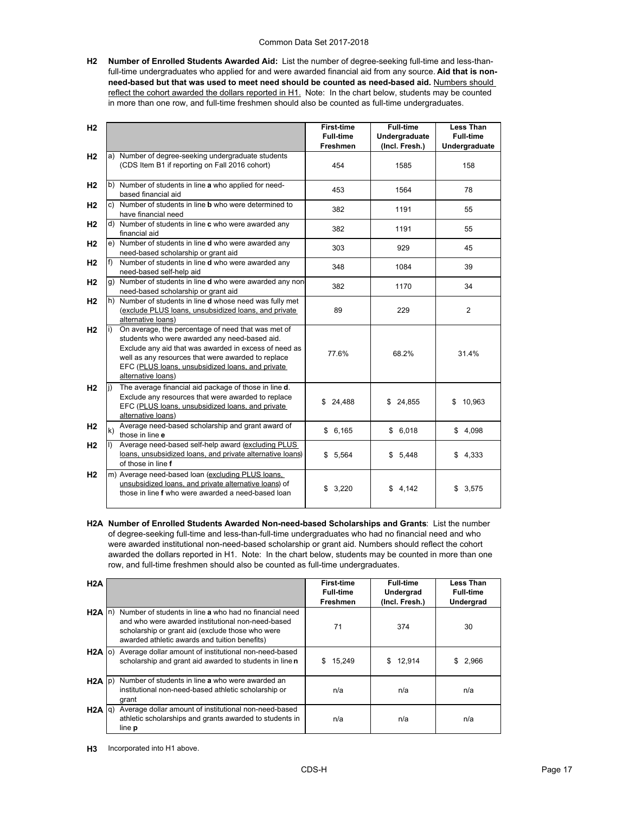**H2 Number of Enrolled Students Awarded Aid:** List the number of degree-seeking full-time and less-thanfull-time undergraduates who applied for and were awarded financial aid from any source. **Aid that is non**need-based but that was used to meet need should be counted as need-based aid. Numbers should reflect the cohort awarded the dollars reported in H1. Note: In the chart below, students may be counted in more than one row, and full-time freshmen should also be counted as full-time undergraduates.

| H <sub>2</sub> |    |                                                                                                                                                                                                                                                                                              | <b>First-time</b><br><b>Full-time</b> | <b>Full-time</b><br>Undergraduate | <b>Less Than</b><br><b>Full-time</b> |
|----------------|----|----------------------------------------------------------------------------------------------------------------------------------------------------------------------------------------------------------------------------------------------------------------------------------------------|---------------------------------------|-----------------------------------|--------------------------------------|
|                |    |                                                                                                                                                                                                                                                                                              | <b>Freshmen</b>                       | (Incl. Fresh.)                    | Undergraduate                        |
| H <sub>2</sub> |    | a) Number of degree-seeking undergraduate students<br>(CDS Item B1 if reporting on Fall 2016 cohort)                                                                                                                                                                                         | 454                                   | 1585                              | 158                                  |
| H <sub>2</sub> |    | b) Number of students in line a who applied for need-<br>based financial aid                                                                                                                                                                                                                 | 453                                   | 1564                              | 78                                   |
| H <sub>2</sub> | c) | Number of students in line <b>b</b> who were determined to<br>have financial need                                                                                                                                                                                                            | 382                                   | 1191                              | 55                                   |
| H <sub>2</sub> |    | d) Number of students in line c who were awarded any<br>financial aid                                                                                                                                                                                                                        | 382                                   | 1191                              | 55                                   |
| H <sub>2</sub> | e) | Number of students in line d who were awarded any<br>need-based scholarship or grant aid                                                                                                                                                                                                     | 303                                   | 929                               | 45                                   |
| H <sub>2</sub> |    | Number of students in line <b>d</b> who were awarded any<br>need-based self-help aid                                                                                                                                                                                                         | 348                                   | 1084                              | 39                                   |
| H <sub>2</sub> |    | g) Number of students in line d who were awarded any non-<br>need-based scholarship or grant aid                                                                                                                                                                                             | 382                                   | 1170                              | 34                                   |
| H <sub>2</sub> |    | h) Number of students in line <b>d</b> whose need was fully met<br>(exclude PLUS loans, unsubsidized loans, and private<br>alternative loans)                                                                                                                                                | 89                                    | 229                               | 2                                    |
| H <sub>2</sub> |    | On average, the percentage of need that was met of<br>students who were awarded any need-based aid.<br>Exclude any aid that was awarded in excess of need as<br>well as any resources that were awarded to replace<br>EFC (PLUS loans, unsubsidized loans, and private<br>alternative loans) | 77.6%                                 | 68.2%                             | 31.4%                                |
| H <sub>2</sub> |    | The average financial aid package of those in line d.<br>Exclude any resources that were awarded to replace<br>EFC (PLUS loans, unsubsidized loans, and private<br>alternative loans)                                                                                                        | \$24,488                              | \$24,855                          | 10,963<br>\$                         |
| H <sub>2</sub> | k) | Average need-based scholarship and grant award of<br>those in line e                                                                                                                                                                                                                         | \$6,165                               | \$6,018                           | \$4,098                              |
| H <sub>2</sub> |    | Average need-based self-help award (excluding PLUS<br>loans, unsubsidized loans, and private alternative loans)<br>of those in line f                                                                                                                                                        | \$5,564                               | \$5,448                           | \$4,333                              |
| H <sub>2</sub> |    | m) Average need-based loan (excluding PLUS loans,<br>unsubsidized loans, and private alternative loans) of<br>those in line f who were awarded a need-based loan                                                                                                                             | \$3,220                               | \$4,142                           | \$3,575                              |

**H2A Number of Enrolled Students Awarded Non-need-based Scholarships and Grants**: List the number of degree-seeking full-time and less-than-full-time undergraduates who had no financial need and who were awarded institutional non-need-based scholarship or grant aid. Numbers should reflect the cohort awarded the dollars reported in H1. Note: In the chart below, students may be counted in more than one row, and full-time freshmen should also be counted as full-time undergraduates.

| H2A               |                                                                                                                                                                                                                  | <b>First-time</b><br><b>Full-time</b><br><b>Freshmen</b> | <b>Full-time</b><br>Undergrad<br>(Incl. Fresh.) | <b>Less Than</b><br><b>Full-time</b><br><b>Undergrad</b> |
|-------------------|------------------------------------------------------------------------------------------------------------------------------------------------------------------------------------------------------------------|----------------------------------------------------------|-------------------------------------------------|----------------------------------------------------------|
| $H2A \ln$         | Number of students in line a who had no financial need<br>and who were awarded institutional non-need-based<br>scholarship or grant aid (exclude those who were<br>awarded athletic awards and tuition benefits) | 71                                                       | 374                                             | 30                                                       |
| $H2A$ (o)         | Average dollar amount of institutional non-need-based<br>scholarship and grant aid awarded to students in line n                                                                                                 | 15,249<br>\$.                                            | 12,914<br>\$                                    | 2,966<br>S.                                              |
| $H2A$ $ p\rangle$ | Number of students in line a who were awarded an<br>institutional non-need-based athletic scholarship or<br>grant                                                                                                | n/a                                                      | n/a                                             | n/a                                                      |
| H2A  q            | Average dollar amount of institutional non-need-based<br>athletic scholarships and grants awarded to students in<br>line <b>p</b>                                                                                | n/a                                                      | n/a                                             | n/a                                                      |

**H3** Incorporated into H1 above.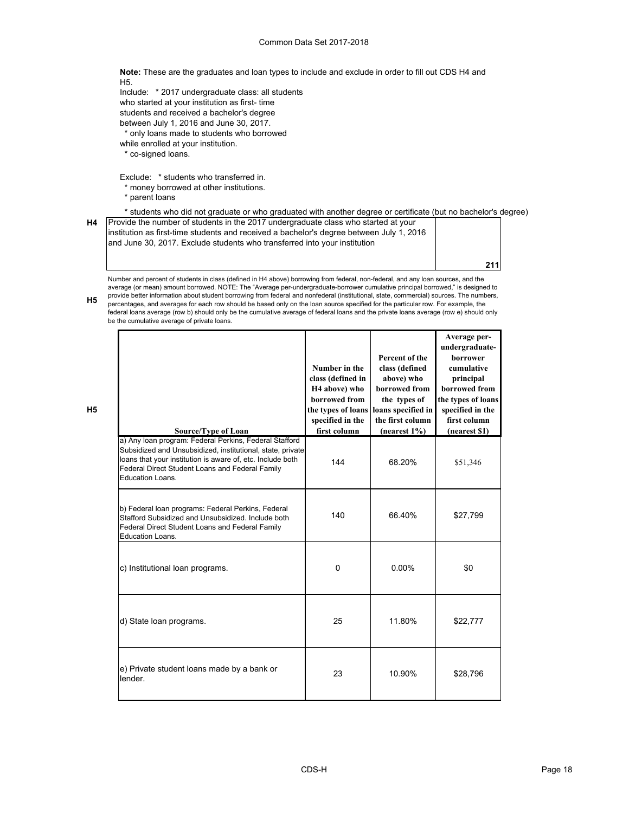**Note:** These are the graduates and loan types to include and exclude in order to fill out CDS H4 and H5.

Include: \* 2017 undergraduate class: all students who started at your institution as first- time students and received a bachelor's degree between July 1, 2016 and June 30, 2017.

\* only loans made to students who borrowed

while enrolled at your institution.

\* co-signed loans.

Exclude: \* students who transferred in.

- \* money borrowed at other institutions.
- \* parent loans

**H5**

\* students who did not graduate or who graduated with another degree or certificate (but no bachelor's degree)

| H4 | Provide the number of students in the 2017 undergraduate class who started at your        |     |
|----|-------------------------------------------------------------------------------------------|-----|
|    | linstitution as first-time students and received a bachelor's degree between July 1, 2016 |     |
|    | and June 30, 2017. Exclude students who transferred into your institution                 |     |
|    |                                                                                           |     |
|    |                                                                                           | 211 |

provide better information about student borrowing from federal and nonfederal (institutional, state, commercial) sources. The numbers,<br>Proportances and averages for each row should be based only on the loan source specifi Number and percent of students in class (defined in H4 above) borrowing from federal, non-federal, and any loan sources, and the average (or mean) amount borrowed. NOTE: The "Average per-undergraduate-borrower cumulative principal borrowed," is designed to percentages, and averages for each row should be based only on the loan source specified for the particular row. For example, the

federal loans average (row b) should only be the cumulative average of federal loans and the private loans average (row e) should only be the cumulative average of private loans.

| <b>Source/Type of Loan</b>                                                                                                                                                                                                                                | Number in the<br>class (defined in<br>H <sub>4</sub> above) who<br>borrowed from<br>the types of loans<br>specified in the<br>first column | Percent of the<br>class (defined<br>above) who<br>borrowed from<br>the types of<br>loans specified in<br>the first column<br>(nearest 1%) | Average per-<br>undergraduate-<br><b>borrower</b><br>cumulative<br>principal<br>borrowed from<br>the types of loans<br>specified in the<br>first column<br>(nearest \$1) |
|-----------------------------------------------------------------------------------------------------------------------------------------------------------------------------------------------------------------------------------------------------------|--------------------------------------------------------------------------------------------------------------------------------------------|-------------------------------------------------------------------------------------------------------------------------------------------|--------------------------------------------------------------------------------------------------------------------------------------------------------------------------|
| a) Any Ioan program: Federal Perkins, Federal Stafford<br>Subsidized and Unsubsidized, institutional, state, private<br>loans that your institution is aware of, etc. Include both<br>Federal Direct Student Loans and Federal Family<br>Education Loans. | 144                                                                                                                                        | 68.20%                                                                                                                                    | \$51,346                                                                                                                                                                 |
| b) Federal loan programs: Federal Perkins, Federal<br>Stafford Subsidized and Unsubsidized, Include both<br>Federal Direct Student Loans and Federal Family<br>Education Loans.                                                                           | 140                                                                                                                                        | 66.40%                                                                                                                                    | \$27,799                                                                                                                                                                 |
| c) Institutional loan programs.                                                                                                                                                                                                                           | $\Omega$                                                                                                                                   | $0.00\%$                                                                                                                                  | \$0                                                                                                                                                                      |
| d) State loan programs.                                                                                                                                                                                                                                   | 25                                                                                                                                         | 11.80%                                                                                                                                    | \$22,777                                                                                                                                                                 |
| e) Private student loans made by a bank or<br>lender.                                                                                                                                                                                                     | 23                                                                                                                                         | 10.90%                                                                                                                                    | \$28,796                                                                                                                                                                 |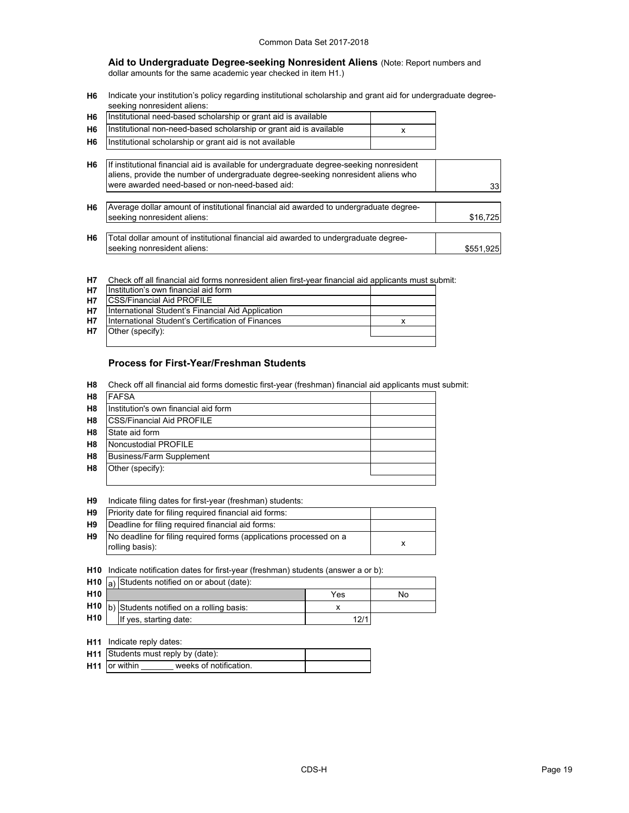**Aid to Undergraduate Degree-seeking Nonresident Aliens** (Note: Report numbers and dollar amounts for the same academic year checked in item H1.)

**H6** Indicate your institution's policy regarding institutional scholarship and grant aid for undergraduate degreeseeking nonresident aliens:

| H6  Institutional need-based scholarship or grant aid is available      |  |
|-------------------------------------------------------------------------|--|
| H6   Institutional non-need-based scholarship or grant aid is available |  |
| H6   Institutional scholarship or grant aid is not available            |  |

| H <sub>6</sub> | If institutional financial aid is available for undergraduate degree-seeking nonresident<br>aliens, provide the number of undergraduate degree-seeking nonresident aliens who<br>were awarded need-based or non-need-based aid: | 33 <sup>1</sup> |
|----------------|---------------------------------------------------------------------------------------------------------------------------------------------------------------------------------------------------------------------------------|-----------------|
| H <sub>6</sub> | Average dollar amount of institutional financial aid awarded to undergraduate degree-<br>seeking nonresident aliens:                                                                                                            | \$16,725        |
| H <sub>6</sub> | Total dollar amount of institutional financial aid awarded to undergraduate degree-<br>seeking nonresident aliens:                                                                                                              | \$551,925       |

**H7** Check off all financial aid forms nonresident alien first-year financial aid applicants must submit:

| <b>H7</b> | Institution's own financial aid form              |  |  |  |  |  |
|-----------|---------------------------------------------------|--|--|--|--|--|
| <b>H7</b> | <b>CSS/Financial Aid PROFILE</b>                  |  |  |  |  |  |
| <b>H7</b> | International Student's Financial Aid Application |  |  |  |  |  |
| <b>H7</b> | International Student's Certification of Finances |  |  |  |  |  |
| <b>H7</b> | Other (specify):                                  |  |  |  |  |  |
|           |                                                   |  |  |  |  |  |

# **Process for First-Year/Freshman Students**

**H8** Check off all financial aid forms domestic first-year (freshman) financial aid applicants must submit:

| H8             | <b>FAFSA</b>                         |  |  |  |  |  |  |
|----------------|--------------------------------------|--|--|--|--|--|--|
| H <sub>8</sub> | Institution's own financial aid form |  |  |  |  |  |  |
| H <sub>8</sub> | <b>ICSS/Financial Aid PROFILE</b>    |  |  |  |  |  |  |
| H <sub>8</sub> | State aid form                       |  |  |  |  |  |  |
| H <sub>8</sub> | Noncustodial PROFILE                 |  |  |  |  |  |  |
| H <sub>8</sub> | Business/Farm Supplement             |  |  |  |  |  |  |
| H <sub>8</sub> | Other (specify):                     |  |  |  |  |  |  |
|                |                                      |  |  |  |  |  |  |

**H9** Indicate filing dates for first-year (freshman) students:<br>
Driegity date for filing required financial aid forms:

| H9   Priority date for filing required financial aid forms:        |
|--------------------------------------------------------------------|
| <b>LIA ID</b> and the contact the monotonical financial and famous |

| H <sub>9</sub> | Deadline for filing required financial aid forms:                  |  |
|----------------|--------------------------------------------------------------------|--|
| <b>H9</b>      | No deadline for filing required forms (applications processed on a |  |
|                | rolling basis):                                                    |  |

**H10** Indicate notification dates for first-year (freshman) students (answer a or b):

|                 | <b>H10</b> $\vert_{a}$ Students notified on or about (date): |      |    |
|-----------------|--------------------------------------------------------------|------|----|
| H <sub>10</sub> |                                                              | Yes  | No |
|                 | $H10$ b) Students notified on a rolling basis:               |      |    |
| H <sub>10</sub> | If yes, starting date:                                       | 12/1 |    |

### **H11** Indicate reply dates:

| H11 Students must reply by (date):        |  |  |
|-------------------------------------------|--|--|
| $H11$ or within<br>weeks of notification. |  |  |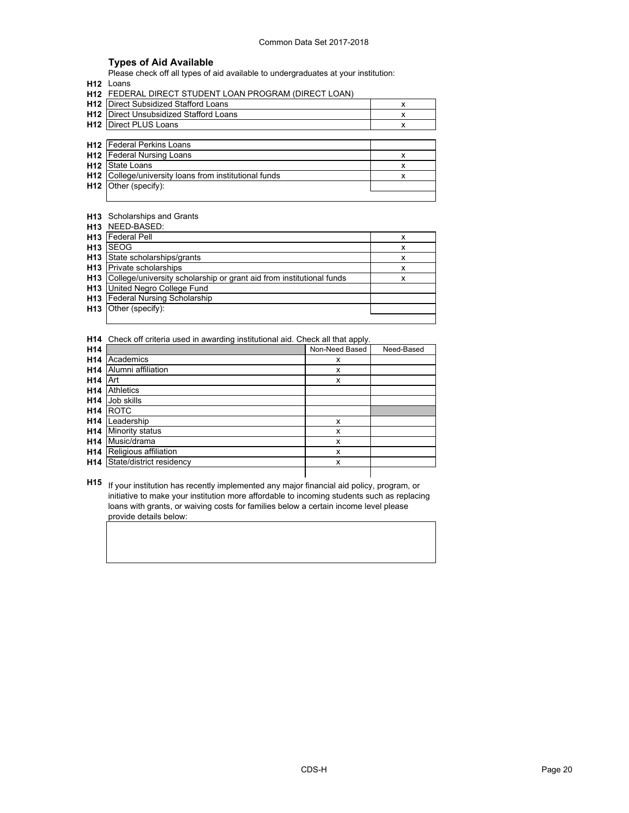# **Types of Aid Available**

Please check off all types of aid available to undergraduates at your institution:

**H12** Loans

|  |  |  |  |  | <b>H12 FEDERAL DIRECT STUDENT LOAN PROGRAM (DIRECT LOAN)</b> |  |  |
|--|--|--|--|--|--------------------------------------------------------------|--|--|
|--|--|--|--|--|--------------------------------------------------------------|--|--|

| H <sub>12</sub> | Direct Subsidized Stafford Loans                  |   |
|-----------------|---------------------------------------------------|---|
| H <sub>12</sub> | Direct Unsubsidized Stafford Loans                | x |
|                 | <b>H12</b> Direct PLUS Loans                      | х |
|                 |                                                   |   |
|                 | <b>H12</b> Federal Perkins Loans                  |   |
|                 | <b>H12</b> Federal Nursing Loans                  | x |
| H <sub>12</sub> | State Loans                                       |   |
| H12             | College/university loans from institutional funds | x |
|                 | $H12$ Other (specify):                            |   |
|                 |                                                   |   |

### **H13** Scholarships and Grants

**H13** NEED-BASED:

| H <sub>13</sub> | <b>Federal Pell</b>                                                      |   |
|-----------------|--------------------------------------------------------------------------|---|
| H <sub>13</sub> | <b>SEOG</b>                                                              | x |
| H <sub>13</sub> | State scholarships/grants                                                | x |
|                 | <b>H13</b> Private scholarships                                          | x |
|                 | H13 College/university scholarship or grant aid from institutional funds | x |
|                 | <b>H13</b> United Negro College Fund                                     |   |
|                 | H13 Federal Nursing Scholarship                                          |   |
|                 | H13 Other (specify):                                                     |   |
|                 |                                                                          |   |

**H14** Check off criteria used in awarding institutional aid. Check all that apply.

| H <sub>14</sub> |                          | Non-Need Based | Need-Based |
|-----------------|--------------------------|----------------|------------|
| H <sub>14</sub> | Academics                | x              |            |
| H <sub>14</sub> | Alumni affiliation       | x              |            |
| H <sub>14</sub> | Art                      | x              |            |
| H <sub>14</sub> | <b>Athletics</b>         |                |            |
| H <sub>14</sub> | Job skills               |                |            |
| H <sub>14</sub> | ROTC                     |                |            |
| H <sub>14</sub> | Leadership               | x              |            |
| H <sub>14</sub> | Minority status          | x              |            |
| H <sub>14</sub> | Music/drama              | x              |            |
| H <sub>14</sub> | Religious affiliation    | x              |            |
| H14             | State/district residency | x              |            |
|                 |                          |                |            |

**H15** If your institution has recently implemented any major financial aid policy, program, or initiative to make your institution more affordable to incoming students such as replacing loans with grants, or waiving costs for families below a certain income level please provide details below: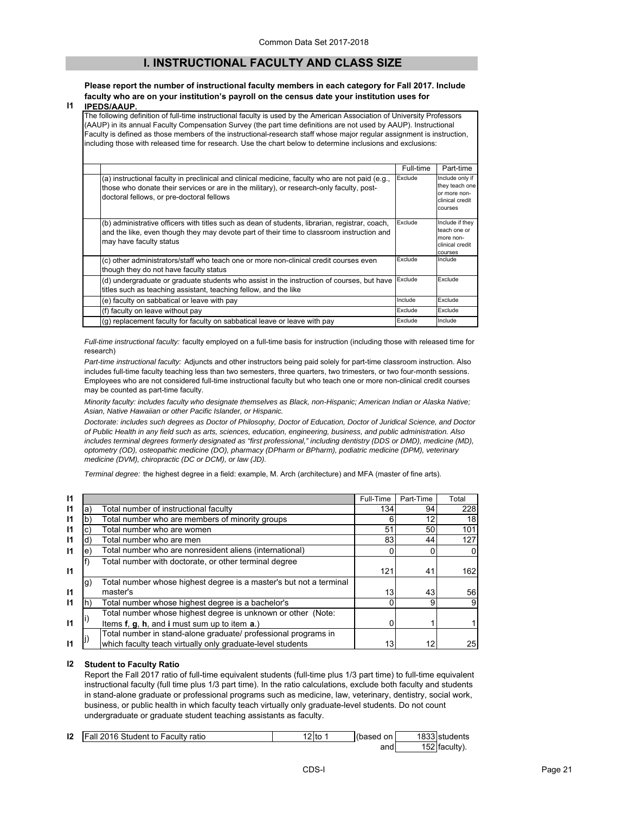# **I. INSTRUCTIONAL FACULTY AND CLASS SIZE**

### **Please report the number of instructional faculty members in each category for Fall 2017. Include faculty who are on your institution's payroll on the census date your institution uses for**

#### **I1 IPEDS/AAUP.**

The following definition of full-time instructional faculty is used by the American Association of University Professors (AAUP) in its annual Faculty Compensation Survey (the part time definitions are not used by AAUP). Instructional Faculty is defined as those members of the instructional-research staff whose major regular assignment is instruction, including those with released time for research. Use the chart below to determine inclusions and exclusions:

|                                                                                                                                                                                                                                          | Full-time | Part-time                                                                       |
|------------------------------------------------------------------------------------------------------------------------------------------------------------------------------------------------------------------------------------------|-----------|---------------------------------------------------------------------------------|
| (a) instructional faculty in preclinical and clinical medicine, faculty who are not paid (e.g.,<br>those who donate their services or are in the military), or research-only faculty, post-<br>doctoral fellows, or pre-doctoral fellows | Exclude   | Include only if<br>they teach one<br>or more non-<br>clinical credit<br>courses |
| (b) administrative officers with titles such as dean of students, librarian, registrar, coach,<br>and the like, even though they may devote part of their time to classroom instruction and<br>may have faculty status                   | Exclude   | Include if they<br>teach one or<br>more non-<br>clinical credit<br>courses      |
| (c) other administrators/staff who teach one or more non-clinical credit courses even<br>though they do not have faculty status                                                                                                          | Exclude   | Include                                                                         |
| (d) undergraduate or graduate students who assist in the instruction of courses, but have<br>titles such as teaching assistant, teaching fellow, and the like                                                                            | Exclude   | Exclude                                                                         |
| (e) faculty on sabbatical or leave with pay                                                                                                                                                                                              | Include   | Exclude                                                                         |
| (f) faculty on leave without pay                                                                                                                                                                                                         | Exclude   | Exclude                                                                         |
| (g) replacement faculty for faculty on sabbatical leave or leave with pay                                                                                                                                                                | Exclude   | Include                                                                         |

*Full-time instructional faculty:* faculty employed on a full-time basis for instruction (including those with released time for research)

*Part-time instructional faculty:* Adjuncts and other instructors being paid solely for part-time classroom instruction. Also includes full-time faculty teaching less than two semesters, three quarters, two trimesters, or two four-month sessions. Employees who are not considered full-time instructional faculty but who teach one or more non-clinical credit courses may be counted as part-time faculty.

*Minority faculty: includes faculty who designate themselves as Black, non-Hispanic; American Indian or Alaska Native; Asian, Native Hawaiian or other Pacific Islander, or Hispanic.* 

*Doctorate: includes such degrees as Doctor of Philosophy, Doctor of Education, Doctor of Juridical Science, and Doctor of Public Health in any field such as arts, sciences, education, engineering, business, and public administration. Also*  includes terminal degrees formerly designated as "first professional," including dentistry (DDS or DMD), medicine (MD), *optometry (OD), osteopathic medicine (DO), pharmacy (DPharm or BPharm), podiatric medicine (DPM), veterinary medicine (DVM), chiropractic (DC or DCM), or law (JD).*

*Terminal degree:* the highest degree in a field: example, M. Arch (architecture) and MFA (master of fine arts).

| 11 |    |                                                                    | Full-Time | Part-Time | Total |
|----|----|--------------------------------------------------------------------|-----------|-----------|-------|
| 11 | a) | Total number of instructional faculty                              | 134       | 94        | 228   |
| 11 |    | Total number who are members of minority groups                    |           | 12        | 18    |
| 11 |    | Total number who are women                                         | 51        | 50        | 101   |
| 11 | d) | Total number who are men                                           | 83        | 44        | 127   |
| 11 | e  | Total number who are nonresident aliens (international)            |           |           |       |
|    |    | Total number with doctorate, or other terminal degree              |           |           |       |
| 11 |    |                                                                    | 121       | 41        | 162   |
|    | g) | Total number whose highest degree is a master's but not a terminal |           |           |       |
| 11 |    | master's                                                           | 13        | 43        | 56    |
| 11 |    | Total number whose highest degree is a bachelor's                  |           | 9         | 9     |
|    |    | Total number whose highest degree is unknown or other (Note:       |           |           |       |
| 11 |    | Items f, g, h, and i must sum up to item a.)                       |           |           |       |
|    |    | Total number in stand-alone graduate/ professional programs in     |           |           |       |
|    |    | which faculty teach virtually only graduate-level students         | 13        | 12        | 25    |

### **I2 Student to Faculty Ratio**

Report the Fall 2017 ratio of full-time equivalent students (full-time plus 1/3 part time) to full-time equivalent instructional faculty (full time plus 1/3 part time). In the ratio calculations, exclude both faculty and students in stand-alone graduate or professional programs such as medicine, law, veterinary, dentistry, social work, business, or public health in which faculty teach virtually only graduate-level students. Do not count undergraduate or graduate student teaching assistants as faculty.

| 12 | <b>Fall 2016 Student to Faculty ratio</b> | 2 <sub>to</sub> | (based on | 1833 students |
|----|-------------------------------------------|-----------------|-----------|---------------|
|    |                                           |                 | and       | 152 faculty). |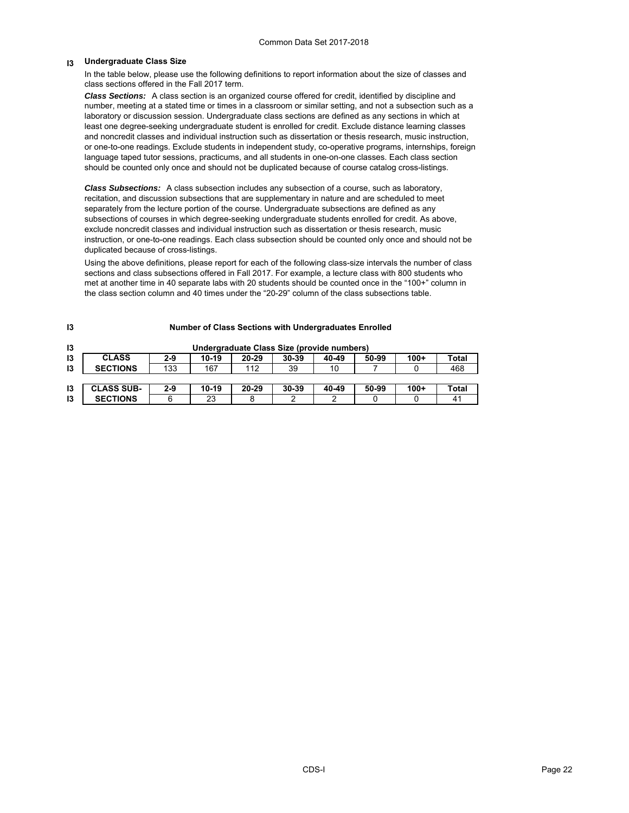#### **I3 Undergraduate Class Size**

**I3**

In the table below, please use the following definitions to report information about the size of classes and class sections offered in the Fall 2017 term.

*Class Sections:* A class section is an organized course offered for credit, identified by discipline and number, meeting at a stated time or times in a classroom or similar setting, and not a subsection such as a laboratory or discussion session. Undergraduate class sections are defined as any sections in which at least one degree-seeking undergraduate student is enrolled for credit. Exclude distance learning classes and noncredit classes and individual instruction such as dissertation or thesis research, music instruction, or one-to-one readings. Exclude students in independent study, co-operative programs, internships, foreign language taped tutor sessions, practicums, and all students in one-on-one classes. Each class section should be counted only once and should not be duplicated because of course catalog cross-listings.

*Class Subsections:* A class subsection includes any subsection of a course, such as laboratory, recitation, and discussion subsections that are supplementary in nature and are scheduled to meet separately from the lecture portion of the course. Undergraduate subsections are defined as any subsections of courses in which degree-seeking undergraduate students enrolled for credit. As above, exclude noncredit classes and individual instruction such as dissertation or thesis research, music instruction, or one-to-one readings. Each class subsection should be counted only once and should not be duplicated because of cross-listings.

Using the above definitions, please report for each of the following class-size intervals the number of class sections and class subsections offered in Fall 2017. For example, a lecture class with 800 students who met at another time in 40 separate labs with 20 students should be counted once in the "100+" column in the class section column and 40 times under the "20-29" column of the class subsections table.

| - 10 |                   |       |       |       | Number of Glass Sections with Undergraduates Emonetic |       |       |        |       |
|------|-------------------|-------|-------|-------|-------------------------------------------------------|-------|-------|--------|-------|
| 13   |                   |       |       |       | Undergraduate Class Size (provide numbers)            |       |       |        |       |
| 13   | <b>CLASS</b>      | $2-9$ | 10-19 | 20-29 | 30-39                                                 | 40-49 | 50-99 | $100+$ | Total |
| 13   | <b>SECTIONS</b>   | 133   | 167   | 112   | 39                                                    | 10    |       |        | 468   |
|      |                   |       |       |       |                                                       |       |       |        |       |
| 13   | <b>CLASS SUB-</b> | $2-9$ | 10-19 | 20-29 | $30 - 39$                                             | 40-49 | 50-99 | $100+$ | Total |
| 13   | <b>SECTIONS</b>   | 6     | 23    |       |                                                       |       |       |        | 41    |

## **Number of Class Sections with Undergraduates Enrolled**